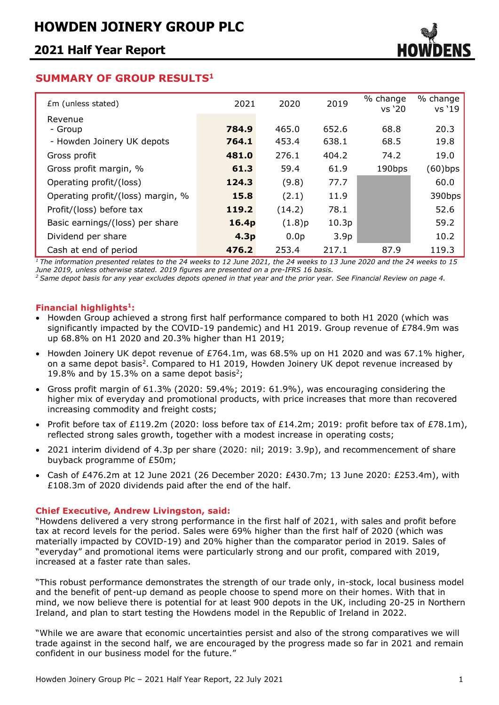

### **SUMMARY OF GROUP RESULTS<sup>1</sup>**

| Em (unless stated)                | 2021             | 2020             | 2019             | % change<br>vs '20 | % change<br>vs '19 |
|-----------------------------------|------------------|------------------|------------------|--------------------|--------------------|
| Revenue                           |                  |                  |                  |                    |                    |
| - Group                           | 784.9            | 465.0            | 652.6            | 68.8               | 20.3               |
| - Howden Joinery UK depots        | 764.1            | 453.4            | 638.1            | 68.5               | 19.8               |
| Gross profit                      | 481.0            | 276.1            | 404.2            | 74.2               | 19.0               |
| Gross profit margin, %            | 61.3             | 59.4             | 61.9             | 190bps             | (60)bps            |
| Operating profit/(loss)           | 124.3            | (9.8)            | 77.7             |                    | 60.0               |
| Operating profit/(loss) margin, % | 15.8             | (2.1)            | 11.9             |                    | 390bps             |
| Profit/(loss) before tax          | 119.2            | (14.2)           | 78.1             |                    | 52.6               |
| Basic earnings/(loss) per share   | 16.4p            | (1.8)p           | 10.3p            |                    | 59.2               |
| Dividend per share                | 4.3 <sub>p</sub> | 0.0 <sub>p</sub> | 3.9 <sub>p</sub> |                    | 10.2               |
| Cash at end of period             | 476.2            | 253.4            | 217.1            | 87.9               | 119.3              |

*<sup>1</sup>The information presented relates to the 24 weeks to 12 June 2021, the 24 weeks to 13 June 2020 and the 24 weeks to 15 June 2019, unless otherwise stated. 2019 figures are presented on a pre-IFRS 16 basis.* 

*<sup>2</sup> Same depot basis for any year excludes depots opened in that year and the prior year. See Financial Review on page 4.*

### **Financial highlights<sup>1</sup> :**

- Howden Group achieved a strong first half performance compared to both H1 2020 (which was significantly impacted by the COVID-19 pandemic) and H1 2019. Group revenue of £784.9m was up 68.8% on H1 2020 and 20.3% higher than H1 2019;
- Howden Joinery UK depot revenue of £764.1m, was 68.5% up on H1 2020 and was 67.1% higher, on a same depot basis<sup>2</sup>. Compared to H1 2019, Howden Joinery UK depot revenue increased by 19.8% and by 15.3% on a same depot basis<sup>2</sup>;
- Gross profit margin of 61.3% (2020: 59.4%; 2019: 61.9%), was encouraging considering the higher mix of everyday and promotional products, with price increases that more than recovered increasing commodity and freight costs;
- Profit before tax of £119.2m (2020: loss before tax of £14.2m; 2019: profit before tax of £78.1m), reflected strong sales growth, together with a modest increase in operating costs;
- 2021 interim dividend of 4.3p per share (2020: nil; 2019: 3.9p), and recommencement of share buyback programme of £50m;
- Cash of £476.2m at 12 June 2021 (26 December 2020: £430.7m; 13 June 2020: £253.4m), with £108.3m of 2020 dividends paid after the end of the half.

### **Chief Executive, Andrew Livingston, said:**

"Howdens delivered a very strong performance in the first half of 2021, with sales and profit before tax at record levels for the period. Sales were 69% higher than the first half of 2020 (which was materially impacted by COVID-19) and 20% higher than the comparator period in 2019. Sales of "everyday" and promotional items were particularly strong and our profit, compared with 2019, increased at a faster rate than sales.

"This robust performance demonstrates the strength of our trade only, in-stock, local business model and the benefit of pent-up demand as people choose to spend more on their homes. With that in mind, we now believe there is potential for at least 900 depots in the UK, including 20-25 in Northern Ireland, and plan to start testing the Howdens model in the Republic of Ireland in 2022.

"While we are aware that economic uncertainties persist and also of the strong comparatives we will trade against in the second half, we are encouraged by the progress made so far in 2021 and remain confident in our business model for the future."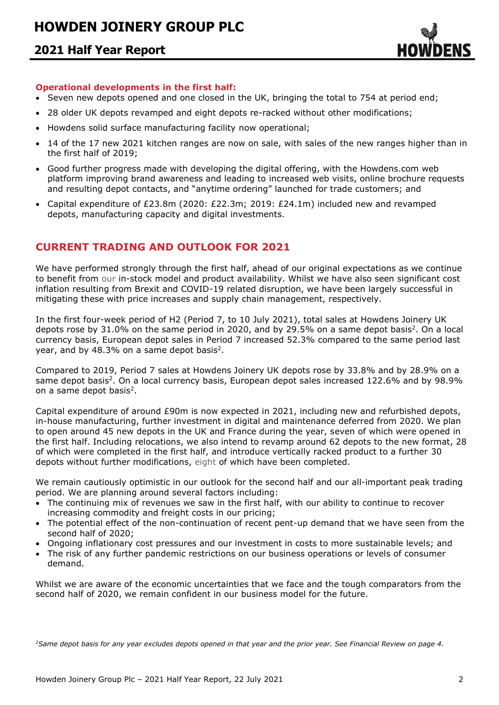

### **Operational developments in the first half:**

- Seven new depots opened and one closed in the UK, bringing the total to 754 at period end;
- 28 older UK depots revamped and eight depots re-racked without other modifications;
- Howdens solid surface manufacturing facility now operational;
- 14 of the 17 new 2021 kitchen ranges are now on sale, with sales of the new ranges higher than in the first half of 2019;
- Good further progress made with developing the digital offering, with the Howdens.com web platform improving brand awareness and leading to increased web visits, online brochure requests and resulting depot contacts, and "anytime ordering" launched for trade customers; and
- Capital expenditure of £23.8m (2020: £22.3m; 2019: £24.1m) included new and revamped depots, manufacturing capacity and digital investments.

### **CURRENT TRADING AND OUTLOOK FOR 2021**

We have performed strongly through the first half, ahead of our original expectations as we continue to benefit from our in-stock model and product availability. Whilst we have also seen significant cost inflation resulting from Brexit and COVID-19 related disruption, we have been largely successful in mitigating these with price increases and supply chain management, respectively.

In the first four-week period of H2 (Period 7, to 10 July 2021), total sales at Howdens Joinery UK depots rose by  $31.0\%$  on the same period in 2020, and by 29.5% on a same depot basis<sup>2</sup>. On a local currency basis, European depot sales in Period 7 increased 52.3% compared to the same period last year, and by 48.3% on a same depot basis<sup>2</sup>.

Compared to 2019, Period 7 sales at Howdens Joinery UK depots rose by 33.8% and by 28.9% on a same depot basis<sup>2</sup>. On a local currency basis, European depot sales increased 122.6% and by 98.9% on a same depot basis<sup>2</sup>.

Capital expenditure of around £90m is now expected in 2021, including new and refurbished depots, in-house manufacturing, further investment in digital and maintenance deferred from 2020. We plan to open around 45 new depots in the UK and France during the year, seven of which were opened in the first half. Including relocations, we also intend to revamp around 62 depots to the new format, 28 of which were completed in the first half, and introduce vertically racked product to a further 30 depots without further modifications, eight of which have been completed.

We remain cautiously optimistic in our outlook for the second half and our all-important peak trading period. We are planning around several factors including:

- The continuing mix of revenues we saw in the first half, with our ability to continue to recover increasing commodity and freight costs in our pricing;
- The potential effect of the non-continuation of recent pent-up demand that we have seen from the second half of 2020;
- Ongoing inflationary cost pressures and our investment in costs to more sustainable levels; and
- The risk of any further pandemic restrictions on our business operations or levels of consumer demand.

Whilst we are aware of the economic uncertainties that we face and the tough comparators from the second half of 2020, we remain confident in our business model for the future.

*2Same depot basis for any year excludes depots opened in that year and the prior year. See Financial Review on page 4.*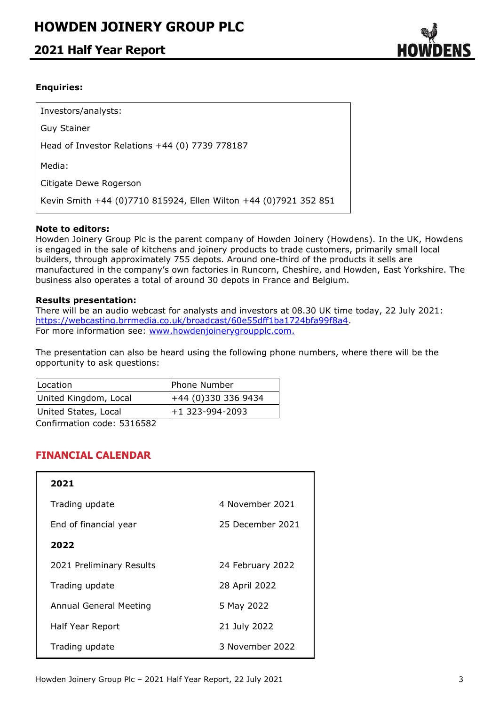### **2021 Half Year Report**



### **Enquiries:**

Investors/analysts: Guy Stainer Head of Investor Relations +44 (0) 7739 778187 Media: Citigate Dewe Rogerson Kevin Smith +44 (0)7710 815924, Ellen Wilton +44 (0)7921 352 851

### **Note to editors:**

Howden Joinery Group Plc is the parent company of Howden Joinery (Howdens). In the UK, Howdens is engaged in the sale of kitchens and joinery products to trade customers, primarily small local builders, through approximately 755 depots. Around one-third of the products it sells are manufactured in the company's own factories in Runcorn, Cheshire, and Howden, East Yorkshire. The business also operates a total of around 30 depots in France and Belgium.

### **Results presentation:**

There will be an audio webcast for analysts and investors at 08.30 UK time today, 22 July 2021: [https://webcasting.brrmedia.co.uk/broadcast/60e55dff1ba1724bfa99f8a4.](https://webcasting.brrmedia.co.uk/broadcast/60e55dff1ba1724bfa99f8a4) For more information see: [www.howdenjoinerygroupplc.com.](http://www.howdenjoinerygroupplc.com/)

The presentation can also be heard using the following phone numbers, where there will be the opportunity to ask questions:

| Location                        | Phone Number       |
|---------------------------------|--------------------|
| United Kingdom, Local           | $+44(0)3303369434$ |
| United States, Local            | +1 323-994-2093    |
| $C$ onfirmation code: $F21CF02$ |                    |

Confirmation code: 5316582

### **FINANCIAL CALENDAR**

| 2021                     |                  |
|--------------------------|------------------|
| Trading update           | 4 November 2021  |
| End of financial year    | 25 December 2021 |
| 2022                     |                  |
| 2021 Preliminary Results | 24 February 2022 |
| Trading update           | 28 April 2022    |
| Annual General Meeting   | 5 May 2022       |
| Half Year Report         | 21 July 2022     |
| Trading update           | 3 November 2022  |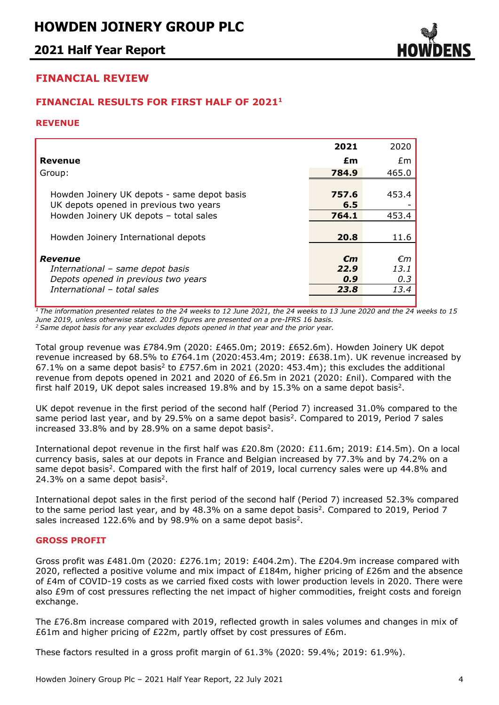

### **FINANCIAL REVIEW**

### **FINANCIAL RESULTS FOR FIRST HALF OF 2021 1**

#### **REVENUE**

|                                                                                       | 2021                        | 2020              |
|---------------------------------------------------------------------------------------|-----------------------------|-------------------|
| Revenue                                                                               | £m                          | £m                |
| Group:                                                                                | 784.9                       | 465.0             |
| Howden Joinery UK depots - same depot basis<br>UK depots opened in previous two years | 757.6<br>6.5                | 453.4             |
| Howden Joinery UK depots - total sales                                                | 764.1                       | 453.4             |
| Howden Joinery International depots                                                   | 20.8                        | 11.6              |
| Revenue<br>International - same depot basis<br>Depots opened in previous two years    | $\epsilon$ m<br>22.9<br>0.9 | €m<br>13.1<br>0.3 |
| International - total sales                                                           | 23.8                        | 13.4              |
|                                                                                       |                             |                   |

*<sup>1</sup>The information presented relates to the 24 weeks to 12 June 2021, the 24 weeks to 13 June 2020 and the 24 weeks to 15 June 2019, unless otherwise stated. 2019 figures are presented on a pre-IFRS 16 basis.*

*<sup>2</sup> Same depot basis for any year excludes depots opened in that year and the prior year.*

Total group revenue was £784.9m (2020: £465.0m; 2019: £652.6m). Howden Joinery UK depot revenue increased by 68.5% to £764.1m (2020:453.4m; 2019: £638.1m). UK revenue increased by 67.1% on a same depot basis<sup>2</sup> to £757.6m in 2021 (2020: 453.4m); this excludes the additional revenue from depots opened in 2021 and 2020 of £6.5m in 2021 (2020: £nil). Compared with the first half 2019, UK depot sales increased 19.8% and by 15.3% on a same depot basis<sup>2</sup>.

UK depot revenue in the first period of the second half (Period 7) increased 31.0% compared to the same period last year, and by 29.5% on a same depot basis<sup>2</sup>. Compared to 2019, Period 7 sales increased 33.8% and by 28.9% on a same depot basis<sup>2</sup>.

International depot revenue in the first half was £20.8m (2020: £11.6m; 2019: £14.5m). On a local currency basis, sales at our depots in France and Belgian increased by 77.3% and by 74.2% on a same depot basis<sup>2</sup>. Compared with the first half of 2019, local currency sales were up 44.8% and 24.3% on a same depot basis<sup>2</sup>.

International depot sales in the first period of the second half (Period 7) increased 52.3% compared to the same period last year, and by 48.3% on a same depot basis<sup>2</sup>. Compared to 2019, Period 7 sales increased 122.6% and by 98.9% on a same depot basis<sup>2</sup>.

### **GROSS PROFIT**

Gross profit was £481.0m (2020: £276.1m; 2019: £404.2m). The £204.9m increase compared with 2020, reflected a positive volume and mix impact of  $E184m$ , higher pricing of  $E26m$  and the absence of £4m of COVID-19 costs as we carried fixed costs with lower production levels in 2020. There were also £9m of cost pressures reflecting the net impact of higher commodities, freight costs and foreign exchange.

The £76.8m increase compared with 2019, reflected growth in sales volumes and changes in mix of £61m and higher pricing of £22m, partly offset by cost pressures of £6m.

These factors resulted in a gross profit margin of 61.3% (2020: 59.4%; 2019: 61.9%).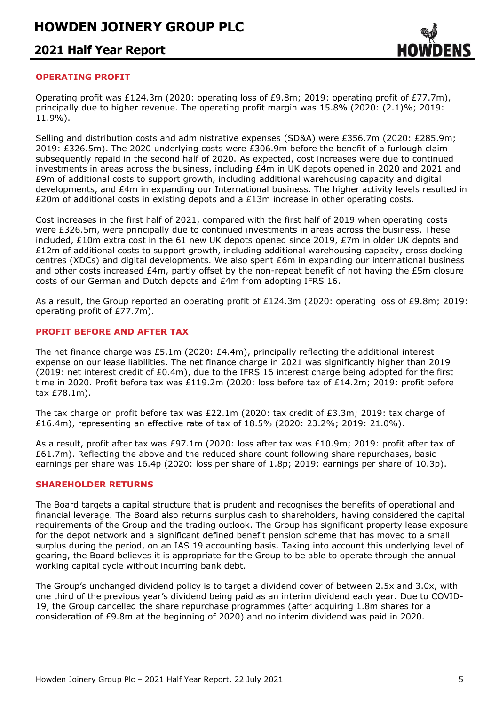### **2021 Half Year Report**



### **OPERATING PROFIT**

Operating profit was £124.3m (2020: operating loss of £9.8m; 2019: operating profit of £77.7m), principally due to higher revenue. The operating profit margin was 15.8% (2020: (2.1)%; 2019: 11.9%).

Selling and distribution costs and administrative expenses (SD&A) were £356.7m (2020: £285.9m; 2019: £326.5m). The 2020 underlying costs were £306.9m before the benefit of a furlough claim subsequently repaid in the second half of 2020. As expected, cost increases were due to continued investments in areas across the business, including £4m in UK depots opened in 2020 and 2021 and £9m of additional costs to support growth, including additional warehousing capacity and digital developments, and £4m in expanding our International business. The higher activity levels resulted in £20m of additional costs in existing depots and a £13m increase in other operating costs.

Cost increases in the first half of 2021, compared with the first half of 2019 when operating costs were £326.5m, were principally due to continued investments in areas across the business. These included, £10m extra cost in the 61 new UK depots opened since 2019, £7m in older UK depots and £12m of additional costs to support growth, including additional warehousing capacity, cross docking centres (XDCs) and digital developments. We also spent £6m in expanding our international business and other costs increased £4m, partly offset by the non-repeat benefit of not having the £5m closure costs of our German and Dutch depots and £4m from adopting IFRS 16.

As a result, the Group reported an operating profit of £124.3m (2020: operating loss of £9.8m; 2019: operating profit of £77.7m).

#### **PROFIT BEFORE AND AFTER TAX**

The net finance charge was £5.1m (2020: £4.4m), principally reflecting the additional interest expense on our lease liabilities. The net finance charge in 2021 was significantly higher than 2019 (2019: net interest credit of £0.4m), due to the IFRS 16 interest charge being adopted for the first time in 2020. Profit before tax was £119.2m (2020: loss before tax of £14.2m; 2019: profit before tax £78.1m).

The tax charge on profit before tax was £22.1m (2020: tax credit of £3.3m; 2019: tax charge of £16.4m), representing an effective rate of tax of 18.5% (2020: 23.2%; 2019: 21.0%).

As a result, profit after tax was £97.1m (2020: loss after tax was £10.9m; 2019: profit after tax of £61.7m). Reflecting the above and the reduced share count following share repurchases, basic earnings per share was 16.4p (2020: loss per share of 1.8p; 2019: earnings per share of 10.3p).

#### **SHAREHOLDER RETURNS**

The Board targets a capital structure that is prudent and recognises the benefits of operational and financial leverage. The Board also returns surplus cash to shareholders, having considered the capital requirements of the Group and the trading outlook. The Group has significant property lease exposure for the depot network and a significant defined benefit pension scheme that has moved to a small surplus during the period, on an IAS 19 accounting basis. Taking into account this underlying level of gearing, the Board believes it is appropriate for the Group to be able to operate through the annual working capital cycle without incurring bank debt.

The Group's unchanged dividend policy is to target a dividend cover of between 2.5x and 3.0x, with one third of the previous year's dividend being paid as an interim dividend each year. Due to COVID-19, the Group cancelled the share repurchase programmes (after acquiring 1.8m shares for a consideration of £9.8m at the beginning of 2020) and no interim dividend was paid in 2020.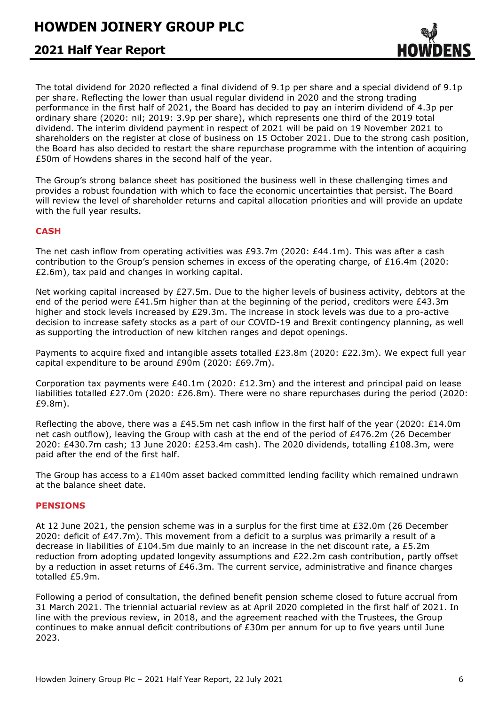### **2021 Half Year Report**

The total dividend for 2020 reflected a final dividend of 9.1p per share and a special dividend of 9.1p per share. Reflecting the lower than usual regular dividend in 2020 and the strong trading performance in the first half of 2021, the Board has decided to pay an interim dividend of 4.3p per ordinary share (2020: nil; 2019: 3.9p per share), which represents one third of the 2019 total dividend. The interim dividend payment in respect of 2021 will be paid on 19 November 2021 to shareholders on the register at close of business on 15 October 2021. Due to the strong cash position, the Board has also decided to restart the share repurchase programme with the intention of acquiring £50m of Howdens shares in the second half of the year.

The Group's strong balance sheet has positioned the business well in these challenging times and provides a robust foundation with which to face the economic uncertainties that persist. The Board will review the level of shareholder returns and capital allocation priorities and will provide an update with the full year results.

### **CASH**

The net cash inflow from operating activities was £93.7m (2020: £44.1m). This was after a cash contribution to the Group's pension schemes in excess of the operating charge, of £16.4m (2020: £2.6m), tax paid and changes in working capital.

Net working capital increased by £27.5m. Due to the higher levels of business activity, debtors at the end of the period were £41.5m higher than at the beginning of the period, creditors were £43.3m higher and stock levels increased by £29.3m. The increase in stock levels was due to a pro-active decision to increase safety stocks as a part of our COVID-19 and Brexit contingency planning, as well as supporting the introduction of new kitchen ranges and depot openings.

Payments to acquire fixed and intangible assets totalled £23.8m (2020: £22.3m). We expect full year capital expenditure to be around £90m (2020: £69.7m).

Corporation tax payments were £40.1m (2020: £12.3m) and the interest and principal paid on lease liabilities totalled £27.0m (2020: £26.8m). There were no share repurchases during the period (2020: £9.8m).

Reflecting the above, there was a £45.5m net cash inflow in the first half of the year (2020: £14.0m net cash outflow), leaving the Group with cash at the end of the period of £476.2m (26 December 2020: £430.7m cash; 13 June 2020: £253.4m cash). The 2020 dividends, totalling £108.3m, were paid after the end of the first half.

The Group has access to a £140m asset backed committed lending facility which remained undrawn at the balance sheet date.

### **PENSIONS**

At 12 June 2021, the pension scheme was in a surplus for the first time at £32.0m (26 December 2020: deficit of £47.7m). This movement from a deficit to a surplus was primarily a result of a decrease in liabilities of £104.5m due mainly to an increase in the net discount rate, a £5.2m reduction from adopting updated longevity assumptions and £22.2m cash contribution, partly offset by a reduction in asset returns of £46.3m. The current service, administrative and finance charges totalled £5.9m.

Following a period of consultation, the defined benefit pension scheme closed to future accrual from 31 March 2021. The triennial actuarial review as at April 2020 completed in the first half of 2021. In line with the previous review, in 2018, and the agreement reached with the Trustees, the Group continues to make annual deficit contributions of £30m per annum for up to five years until June 2023.

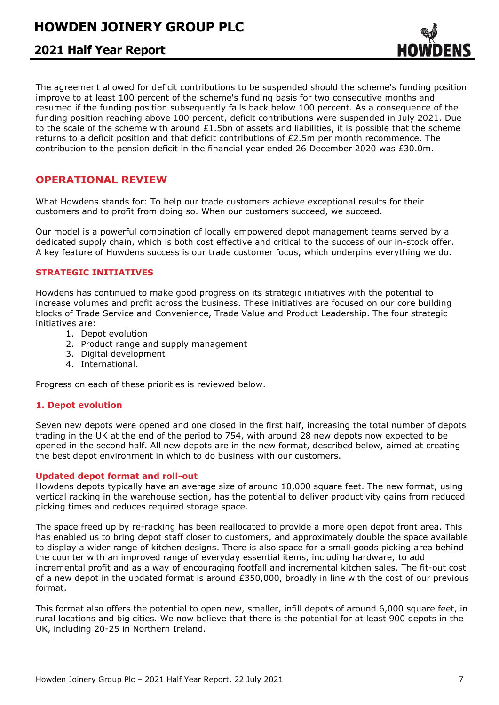### **2021 Half Year Report**

The agreement allowed for deficit contributions to be suspended should the scheme's funding position improve to at least 100 percent of the scheme's funding basis for two consecutive months and resumed if the funding position subsequently falls back below 100 percent. As a consequence of the funding position reaching above 100 percent, deficit contributions were suspended in July 2021. Due to the scale of the scheme with around  $£1.5$ bn of assets and liabilities, it is possible that the scheme returns to a deficit position and that deficit contributions of £2.5m per month recommence. The contribution to the pension deficit in the financial year ended 26 December 2020 was £30.0m.

### **OPERATIONAL REVIEW**

What Howdens stands for: To help our trade customers achieve exceptional results for their customers and to profit from doing so. When our customers succeed, we succeed.

Our model is a powerful combination of locally empowered depot management teams served by a dedicated supply chain, which is both cost effective and critical to the success of our in-stock offer. A key feature of Howdens success is our trade customer focus, which underpins everything we do.

### **STRATEGIC INITIATIVES**

Howdens has continued to make good progress on its strategic initiatives with the potential to increase volumes and profit across the business. These initiatives are focused on our core building blocks of Trade Service and Convenience, Trade Value and Product Leadership. The four strategic initiatives are:

- 1. Depot evolution
- 2. Product range and supply management
- 3. Digital development
- 4. International.

Progress on each of these priorities is reviewed below.

### **1. Depot evolution**

Seven new depots were opened and one closed in the first half, increasing the total number of depots trading in the UK at the end of the period to 754, with around 28 new depots now expected to be opened in the second half. All new depots are in the new format, described below, aimed at creating the best depot environment in which to do business with our customers.

### **Updated depot format and roll-out**

Howdens depots typically have an average size of around 10,000 square feet. The new format, using vertical racking in the warehouse section, has the potential to deliver productivity gains from reduced picking times and reduces required storage space.

The space freed up by re-racking has been reallocated to provide a more open depot front area. This has enabled us to bring depot staff closer to customers, and approximately double the space available to display a wider range of kitchen designs. There is also space for a small goods picking area behind the counter with an improved range of everyday essential items, including hardware, to add incremental profit and as a way of encouraging footfall and incremental kitchen sales. The fit-out cost of a new depot in the updated format is around £350,000, broadly in line with the cost of our previous format.

This format also offers the potential to open new, smaller, infill depots of around 6,000 square feet, in rural locations and big cities. We now believe that there is the potential for at least 900 depots in the UK, including 20-25 in Northern Ireland.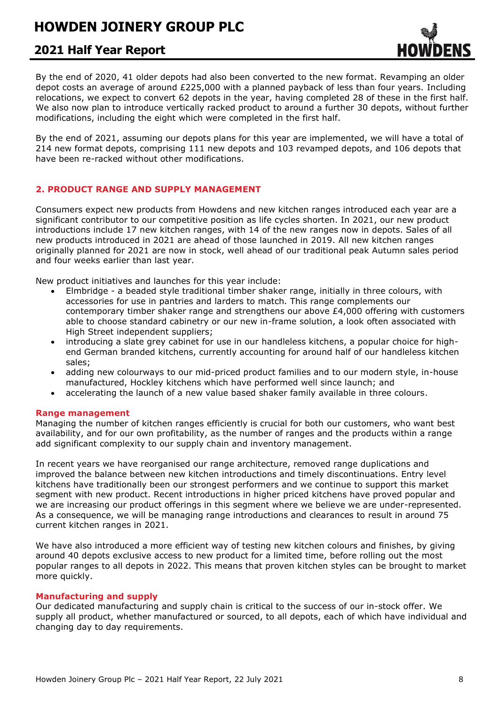## **2021 Half Year Report**

By the end of 2020, 41 older depots had also been converted to the new format. Revamping an older depot costs an average of around £225,000 with a planned payback of less than four years. Including relocations, we expect to convert 62 depots in the year, having completed 28 of these in the first half. We also now plan to introduce vertically racked product to around a further 30 depots, without further modifications, including the eight which were completed in the first half.

By the end of 2021, assuming our depots plans for this year are implemented, we will have a total of 214 new format depots, comprising 111 new depots and 103 revamped depots, and 106 depots that have been re-racked without other modifications.

### **2. PRODUCT RANGE AND SUPPLY MANAGEMENT**

Consumers expect new products from Howdens and new kitchen ranges introduced each year are a significant contributor to our competitive position as life cycles shorten. In 2021, our new product introductions include 17 new kitchen ranges, with 14 of the new ranges now in depots. Sales of all new products introduced in 2021 are ahead of those launched in 2019. All new kitchen ranges originally planned for 2021 are now in stock, well ahead of our traditional peak Autumn sales period and four weeks earlier than last year.

New product initiatives and launches for this year include:

- Elmbridge a beaded style traditional timber shaker range, initially in three colours, with accessories for use in pantries and larders to match. This range complements our contemporary timber shaker range and strengthens our above £4,000 offering with customers able to choose standard cabinetry or our new in-frame solution, a look often associated with High Street independent suppliers;
- introducing a slate grey cabinet for use in our handleless kitchens, a popular choice for highend German branded kitchens, currently accounting for around half of our handleless kitchen sales;
- adding new colourways to our mid-priced product families and to our modern style, in-house manufactured, Hockley kitchens which have performed well since launch; and
- accelerating the launch of a new value based shaker family available in three colours.

### **Range management**

Managing the number of kitchen ranges efficiently is crucial for both our customers, who want best availability, and for our own profitability, as the number of ranges and the products within a range add significant complexity to our supply chain and inventory management.

In recent years we have reorganised our range architecture, removed range duplications and improved the balance between new kitchen introductions and timely discontinuations. Entry level kitchens have traditionally been our strongest performers and we continue to support this market segment with new product. Recent introductions in higher priced kitchens have proved popular and we are increasing our product offerings in this segment where we believe we are under-represented. As a consequence, we will be managing range introductions and clearances to result in around 75 current kitchen ranges in 2021.

We have also introduced a more efficient way of testing new kitchen colours and finishes, by giving around 40 depots exclusive access to new product for a limited time, before rolling out the most popular ranges to all depots in 2022. This means that proven kitchen styles can be brought to market more quickly.

#### **Manufacturing and supply**

Our dedicated manufacturing and supply chain is critical to the success of our in-stock offer. We supply all product, whether manufactured or sourced, to all depots, each of which have individual and changing day to day requirements.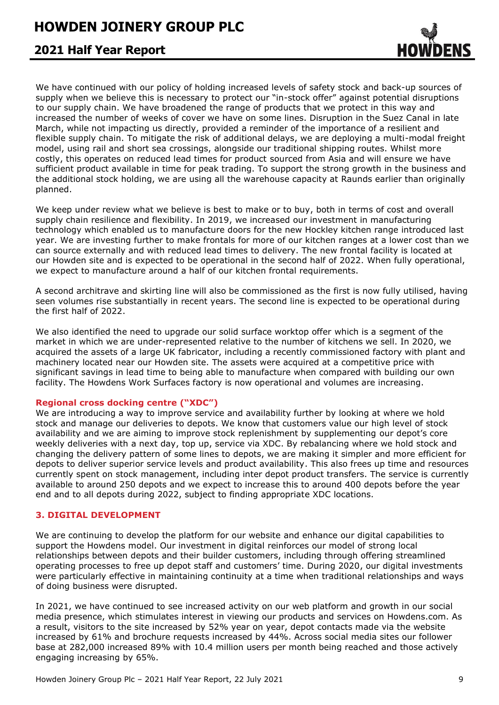### **2021 Half Year Report**

We have continued with our policy of holding increased levels of safety stock and back-up sources of supply when we believe this is necessary to protect our "in-stock offer" against potential disruptions to our supply chain. We have broadened the range of products that we protect in this way and increased the number of weeks of cover we have on some lines. Disruption in the Suez Canal in late March, while not impacting us directly, provided a reminder of the importance of a resilient and flexible supply chain. To mitigate the risk of additional delays, we are deploying a multi-modal freight model, using rail and short sea crossings, alongside our traditional shipping routes. Whilst more costly, this operates on reduced lead times for product sourced from Asia and will ensure we have sufficient product available in time for peak trading. To support the strong growth in the business and the additional stock holding, we are using all the warehouse capacity at Raunds earlier than originally planned.

We keep under review what we believe is best to make or to buy, both in terms of cost and overall supply chain resilience and flexibility. In 2019, we increased our investment in manufacturing technology which enabled us to manufacture doors for the new Hockley kitchen range introduced last year. We are investing further to make frontals for more of our kitchen ranges at a lower cost than we can source externally and with reduced lead times to delivery. The new frontal facility is located at our Howden site and is expected to be operational in the second half of 2022. When fully operational, we expect to manufacture around a half of our kitchen frontal requirements.

A second architrave and skirting line will also be commissioned as the first is now fully utilised, having seen volumes rise substantially in recent years. The second line is expected to be operational during the first half of 2022.

We also identified the need to upgrade our solid surface worktop offer which is a segment of the market in which we are under-represented relative to the number of kitchens we sell. In 2020, we acquired the assets of a large UK fabricator, including a recently commissioned factory with plant and machinery located near our Howden site. The assets were acquired at a competitive price with significant savings in lead time to being able to manufacture when compared with building our own facility. The Howdens Work Surfaces factory is now operational and volumes are increasing.

### **Regional cross docking centre ("XDC")**

We are introducing a way to improve service and availability further by looking at where we hold stock and manage our deliveries to depots. We know that customers value our high level of stock availability and we are aiming to improve stock replenishment by supplementing our depot's core weekly deliveries with a next day, top up, service via XDC. By rebalancing where we hold stock and changing the delivery pattern of some lines to depots, we are making it simpler and more efficient for depots to deliver superior service levels and product availability. This also frees up time and resources currently spent on stock management, including inter depot product transfers. The service is currently available to around 250 depots and we expect to increase this to around 400 depots before the year end and to all depots during 2022, subject to finding appropriate XDC locations.

### **3. DIGITAL DEVELOPMENT**

We are continuing to develop the platform for our website and enhance our digital capabilities to support the Howdens model. Our investment in digital reinforces our model of strong local relationships between depots and their builder customers, including through offering streamlined operating processes to free up depot staff and customers' time. During 2020, our digital investments were particularly effective in maintaining continuity at a time when traditional relationships and ways of doing business were disrupted.

In 2021, we have continued to see increased activity on our web platform and growth in our social media presence, which stimulates interest in viewing our products and services on Howdens.com. As a result, visitors to the site increased by 52% year on year, depot contacts made via the website increased by 61% and brochure requests increased by 44%. Across social media sites our follower base at 282,000 increased 89% with 10.4 million users per month being reached and those actively engaging increasing by 65%.

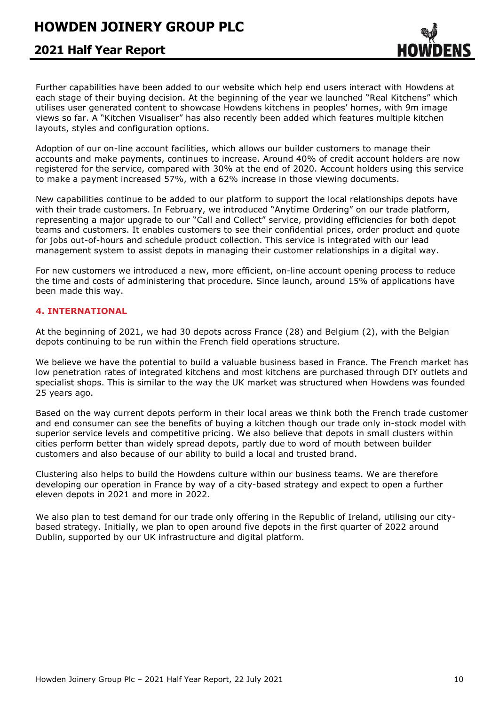### **2021 Half Year Report**

Further capabilities have been added to our website which help end users interact with Howdens at each stage of their buying decision. At the beginning of the year we launched "Real Kitchens" which utilises user generated content to showcase Howdens kitchens in peoples' homes, with 9m image views so far. A "Kitchen Visualiser" has also recently been added which features multiple kitchen layouts, styles and configuration options.

Adoption of our on-line account facilities, which allows our builder customers to manage their accounts and make payments, continues to increase. Around 40% of credit account holders are now registered for the service, compared with 30% at the end of 2020. Account holders using this service to make a payment increased 57%, with a 62% increase in those viewing documents.

New capabilities continue to be added to our platform to support the local relationships depots have with their trade customers. In February, we introduced "Anytime Ordering" on our trade platform, representing a major upgrade to our "Call and Collect" service, providing efficiencies for both depot teams and customers. It enables customers to see their confidential prices, order product and quote for jobs out-of-hours and schedule product collection. This service is integrated with our lead management system to assist depots in managing their customer relationships in a digital way.

For new customers we introduced a new, more efficient, on-line account opening process to reduce the time and costs of administering that procedure. Since launch, around 15% of applications have been made this way.

### **4. INTERNATIONAL**

At the beginning of 2021, we had 30 depots across France (28) and Belgium (2), with the Belgian depots continuing to be run within the French field operations structure.

We believe we have the potential to build a valuable business based in France. The French market has low penetration rates of integrated kitchens and most kitchens are purchased through DIY outlets and specialist shops. This is similar to the way the UK market was structured when Howdens was founded 25 years ago.

Based on the way current depots perform in their local areas we think both the French trade customer and end consumer can see the benefits of buying a kitchen though our trade only in-stock model with superior service levels and competitive pricing. We also believe that depots in small clusters within cities perform better than widely spread depots, partly due to word of mouth between builder customers and also because of our ability to build a local and trusted brand.

Clustering also helps to build the Howdens culture within our business teams. We are therefore developing our operation in France by way of a city-based strategy and expect to open a further eleven depots in 2021 and more in 2022.

We also plan to test demand for our trade only offering in the Republic of Ireland, utilising our citybased strategy. Initially, we plan to open around five depots in the first quarter of 2022 around Dublin, supported by our UK infrastructure and digital platform.

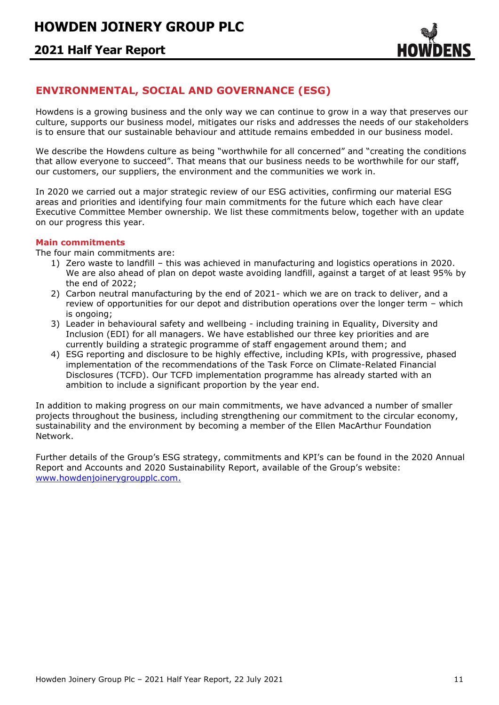

### **ENVIRONMENTAL, SOCIAL AND GOVERNANCE (ESG)**

Howdens is a growing business and the only way we can continue to grow in a way that preserves our culture, supports our business model, mitigates our risks and addresses the needs of our stakeholders is to ensure that our sustainable behaviour and attitude remains embedded in our business model.

We describe the Howdens culture as being "worthwhile for all concerned" and "creating the conditions that allow everyone to succeed". That means that our business needs to be worthwhile for our staff, our customers, our suppliers, the environment and the communities we work in.

In 2020 we carried out a major strategic review of our ESG activities, confirming our material ESG areas and priorities and identifying four main commitments for the future which each have clear Executive Committee Member ownership. We list these commitments below, together with an update on our progress this year.

### **Main commitments**

The four main commitments are:

- 1) Zero waste to landfill this was achieved in manufacturing and logistics operations in 2020. We are also ahead of plan on depot waste avoiding landfill, against a target of at least 95% by the end of 2022;
- 2) Carbon neutral manufacturing by the end of 2021- which we are on track to deliver, and a review of opportunities for our depot and distribution operations over the longer term – which is ongoing;
- 3) Leader in behavioural safety and wellbeing including training in Equality, Diversity and Inclusion (EDI) for all managers. We have established our three key priorities and are currently building a strategic programme of staff engagement around them; and
- 4) ESG reporting and disclosure to be highly effective, including KPIs, with progressive, phased implementation of the recommendations of the Task Force on Climate-Related Financial Disclosures (TCFD). Our TCFD implementation programme has already started with an ambition to include a significant proportion by the year end.

In addition to making progress on our main commitments, we have advanced a number of smaller projects throughout the business, including strengthening our commitment to the circular economy, sustainability and the environment by becoming a member of the Ellen MacArthur Foundation Network.

Further details of the Group's ESG strategy, commitments and KPI's can be found in the 2020 Annual Report and Accounts and 2020 Sustainability Report, available of the Group's website: [www.howdenjoinerygroupplc.com.](http://www.howdenjoinerygroupplc.com/)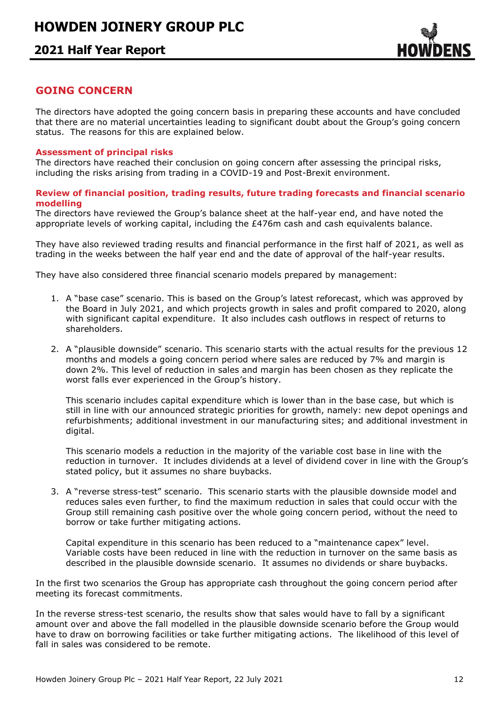

### **GOING CONCERN**

The directors have adopted the going concern basis in preparing these accounts and have concluded that there are no material uncertainties leading to significant doubt about the Group's going concern status. The reasons for this are explained below.

### **Assessment of principal risks**

The directors have reached their conclusion on going concern after assessing the principal risks, including the risks arising from trading in a COVID-19 and Post-Brexit environment.

### **Review of financial position, trading results, future trading forecasts and financial scenario modelling**

The directors have reviewed the Group's balance sheet at the half-year end, and have noted the appropriate levels of working capital, including the £476m cash and cash equivalents balance.

They have also reviewed trading results and financial performance in the first half of 2021, as well as trading in the weeks between the half year end and the date of approval of the half-year results.

They have also considered three financial scenario models prepared by management:

- 1. A "base case" scenario. This is based on the Group's latest reforecast, which was approved by the Board in July 2021, and which projects growth in sales and profit compared to 2020, along with significant capital expenditure. It also includes cash outflows in respect of returns to shareholders.
- 2. A "plausible downside" scenario. This scenario starts with the actual results for the previous 12 months and models a going concern period where sales are reduced by 7% and margin is down 2%. This level of reduction in sales and margin has been chosen as they replicate the worst falls ever experienced in the Group's history.

This scenario includes capital expenditure which is lower than in the base case, but which is still in line with our announced strategic priorities for growth, namely: new depot openings and refurbishments; additional investment in our manufacturing sites; and additional investment in digital.

This scenario models a reduction in the majority of the variable cost base in line with the reduction in turnover. It includes dividends at a level of dividend cover in line with the Group's stated policy, but it assumes no share buybacks.

3. A "reverse stress-test" scenario. This scenario starts with the plausible downside model and reduces sales even further, to find the maximum reduction in sales that could occur with the Group still remaining cash positive over the whole going concern period, without the need to borrow or take further mitigating actions.

Capital expenditure in this scenario has been reduced to a "maintenance capex" level. Variable costs have been reduced in line with the reduction in turnover on the same basis as described in the plausible downside scenario. It assumes no dividends or share buybacks.

In the first two scenarios the Group has appropriate cash throughout the going concern period after meeting its forecast commitments.

In the reverse stress-test scenario, the results show that sales would have to fall by a significant amount over and above the fall modelled in the plausible downside scenario before the Group would have to draw on borrowing facilities or take further mitigating actions. The likelihood of this level of fall in sales was considered to be remote.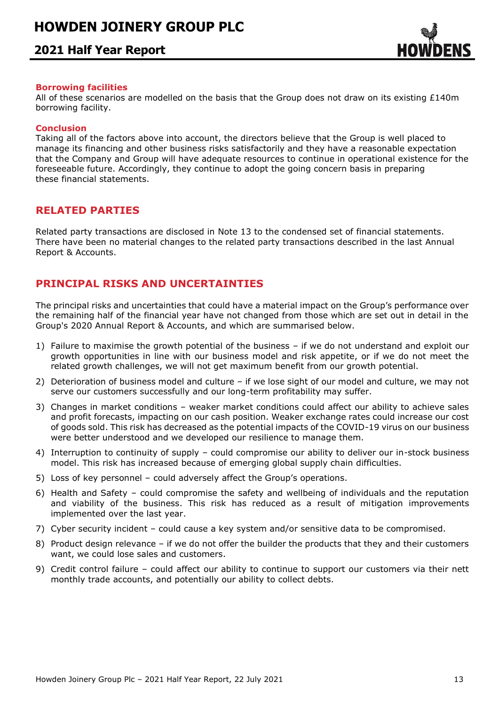

### **Borrowing facilities**

All of these scenarios are modelled on the basis that the Group does not draw on its existing £140m borrowing facility.

### **Conclusion**

Taking all of the factors above into account, the directors believe that the Group is well placed to manage its financing and other business risks satisfactorily and they have a reasonable expectation that the Company and Group will have adequate resources to continue in operational existence for the foreseeable future. Accordingly, they continue to adopt the going concern basis in preparing these financial statements.

### **RELATED PARTIES**

Related party transactions are disclosed in Note 13 to the condensed set of financial statements. There have been no material changes to the related party transactions described in the last Annual Report & Accounts.

### **PRINCIPAL RISKS AND UNCERTAINTIES**

The principal risks and uncertainties that could have a material impact on the Group's performance over the remaining half of the financial year have not changed from those which are set out in detail in the Group's 2020 Annual Report & Accounts, and which are summarised below.

- 1) Failure to maximise the growth potential of the business if we do not understand and exploit our growth opportunities in line with our business model and risk appetite, or if we do not meet the related growth challenges, we will not get maximum benefit from our growth potential.
- 2) Deterioration of business model and culture if we lose sight of our model and culture, we may not serve our customers successfully and our long-term profitability may suffer.
- 3) Changes in market conditions weaker market conditions could affect our ability to achieve sales and profit forecasts, impacting on our cash position. Weaker exchange rates could increase our cost of goods sold. This risk has decreased as the potential impacts of the COVID-19 virus on our business were better understood and we developed our resilience to manage them.
- 4) Interruption to continuity of supply could compromise our ability to deliver our in-stock business model. This risk has increased because of emerging global supply chain difficulties.
- 5) Loss of key personnel could adversely affect the Group's operations.
- 6) Health and Safety could compromise the safety and wellbeing of individuals and the reputation and viability of the business. This risk has reduced as a result of mitigation improvements implemented over the last year.
- 7) Cyber security incident could cause a key system and/or sensitive data to be compromised.
- 8) Product design relevance if we do not offer the builder the products that they and their customers want, we could lose sales and customers.
- 9) Credit control failure could affect our ability to continue to support our customers via their nett monthly trade accounts, and potentially our ability to collect debts.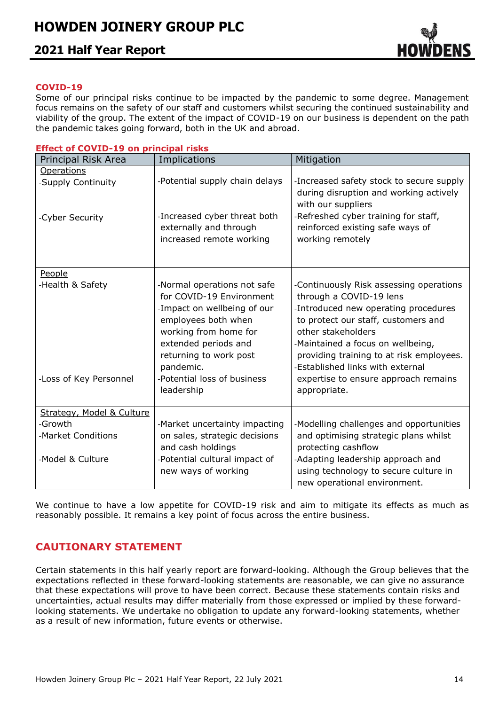

### **COVID-19**

Some of our principal risks continue to be impacted by the pandemic to some degree. Management focus remains on the safety of our staff and customers whilst securing the continued sustainability and viability of the group. The extent of the impact of COVID-19 on our business is dependent on the path the pandemic takes going forward, both in the UK and abroad.

|  | <b>Effect of COVID-19 on principal risks</b> |  |  |
|--|----------------------------------------------|--|--|
|  |                                              |  |  |

| Principal Risk Area                        | Implications                                                                                                                                                                                                                                       | Mitigation                                                                                                                                                                                                                                                                                                                                           |
|--------------------------------------------|----------------------------------------------------------------------------------------------------------------------------------------------------------------------------------------------------------------------------------------------------|------------------------------------------------------------------------------------------------------------------------------------------------------------------------------------------------------------------------------------------------------------------------------------------------------------------------------------------------------|
| <b>Operations</b>                          |                                                                                                                                                                                                                                                    |                                                                                                                                                                                                                                                                                                                                                      |
| -Supply Continuity                         | -Potential supply chain delays                                                                                                                                                                                                                     | -Increased safety stock to secure supply<br>during disruption and working actively<br>with our suppliers                                                                                                                                                                                                                                             |
| -Cyber Security                            | -Increased cyber threat both<br>externally and through<br>increased remote working                                                                                                                                                                 | -Refreshed cyber training for staff,<br>reinforced existing safe ways of<br>working remotely                                                                                                                                                                                                                                                         |
| People                                     |                                                                                                                                                                                                                                                    |                                                                                                                                                                                                                                                                                                                                                      |
| -Health & Safety<br>-Loss of Key Personnel | -Normal operations not safe<br>for COVID-19 Environment<br>-Impact on wellbeing of our<br>employees both when<br>working from home for<br>extended periods and<br>returning to work post<br>pandemic.<br>-Potential loss of business<br>leadership | -Continuously Risk assessing operations<br>through a COVID-19 lens<br>-Introduced new operating procedures<br>to protect our staff, customers and<br>other stakeholders<br>-Maintained a focus on wellbeing,<br>providing training to at risk employees.<br>-Established links with external<br>expertise to ensure approach remains<br>appropriate. |
| Strategy, Model & Culture                  |                                                                                                                                                                                                                                                    |                                                                                                                                                                                                                                                                                                                                                      |
| -Growth                                    | -Market uncertainty impacting                                                                                                                                                                                                                      | -Modelling challenges and opportunities                                                                                                                                                                                                                                                                                                              |
| -Market Conditions                         | on sales, strategic decisions<br>and cash holdings                                                                                                                                                                                                 | and optimising strategic plans whilst<br>protecting cashflow                                                                                                                                                                                                                                                                                         |
| -Model & Culture                           | -Potential cultural impact of<br>new ways of working                                                                                                                                                                                               | -Adapting leadership approach and<br>using technology to secure culture in<br>new operational environment.                                                                                                                                                                                                                                           |

We continue to have a low appetite for COVID-19 risk and aim to mitigate its effects as much as reasonably possible. It remains a key point of focus across the entire business.

### **CAUTIONARY STATEMENT**

Certain statements in this half yearly report are forward-looking. Although the Group believes that the expectations reflected in these forward-looking statements are reasonable, we can give no assurance that these expectations will prove to have been correct. Because these statements contain risks and uncertainties, actual results may differ materially from those expressed or implied by these forwardlooking statements. We undertake no obligation to update any forward-looking statements, whether as a result of new information, future events or otherwise.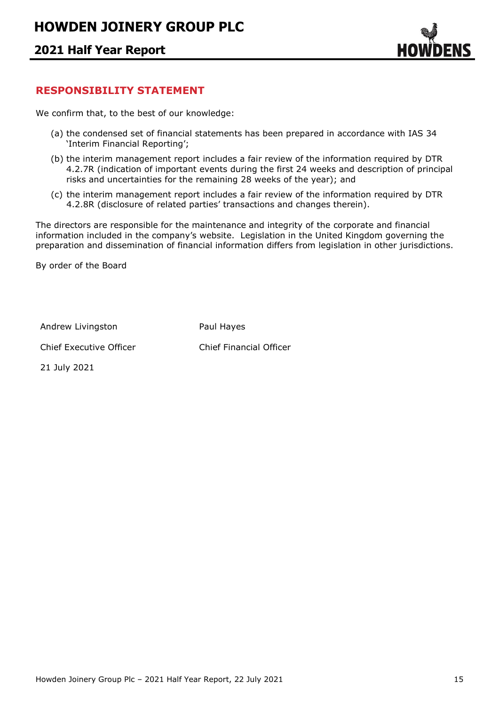

### **RESPONSIBILITY STATEMENT**

We confirm that, to the best of our knowledge:

- (a) the condensed set of financial statements has been prepared in accordance with IAS 34 'Interim Financial Reporting';
- (b) the interim management report includes a fair review of the information required by DTR 4.2.7R (indication of important events during the first 24 weeks and description of principal risks and uncertainties for the remaining 28 weeks of the year); and
- (c) the interim management report includes a fair review of the information required by DTR 4.2.8R (disclosure of related parties' transactions and changes therein).

The directors are responsible for the maintenance and integrity of the corporate and financial information included in the company's website. Legislation in the United Kingdom governing the preparation and dissemination of financial information differs from legislation in other jurisdictions.

By order of the Board

Andrew Livingston **Paul Hayes** 

Chief Executive Officer Chief Financial Officer

21 July 2021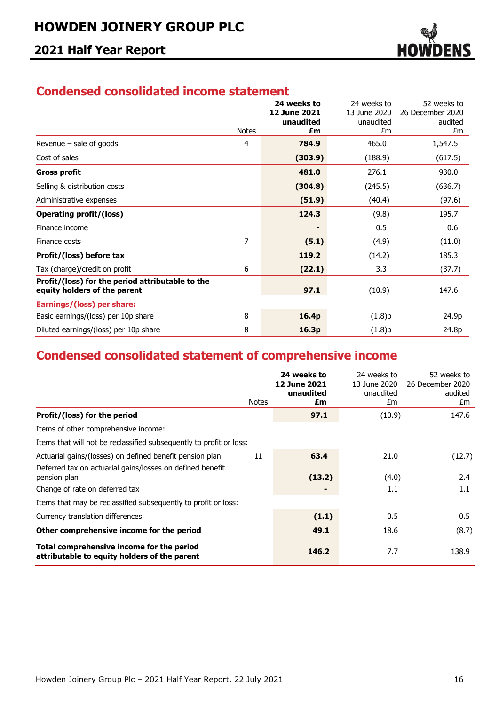

## **Condensed consolidated income statement**

|                                                                                  |              | 24 weeks to<br>12 June 2021 | 24 weeks to<br>13 June 2020 | 52 weeks to<br>26 December 2020 |
|----------------------------------------------------------------------------------|--------------|-----------------------------|-----------------------------|---------------------------------|
|                                                                                  |              | unaudited                   | unaudited                   | audited                         |
|                                                                                  | <b>Notes</b> | £m                          | £m                          | £m                              |
| Revenue - sale of goods                                                          | 4            | 784.9                       | 465.0                       | 1,547.5                         |
| Cost of sales                                                                    |              | (303.9)                     | (188.9)                     | (617.5)                         |
| <b>Gross profit</b>                                                              |              | 481.0                       | 276.1                       | 930.0                           |
| Selling & distribution costs                                                     |              | (304.8)                     | (245.5)                     | (636.7)                         |
| Administrative expenses                                                          |              | (51.9)                      | (40.4)                      | (97.6)                          |
| <b>Operating profit/(loss)</b>                                                   |              | 124.3                       | (9.8)                       | 195.7                           |
| Finance income                                                                   |              |                             | 0.5                         | 0.6                             |
| Finance costs                                                                    | 7            | (5.1)                       | (4.9)                       | (11.0)                          |
| Profit/(loss) before tax                                                         |              | 119.2                       | (14.2)                      | 185.3                           |
| Tax (charge)/credit on profit                                                    | 6            | (22.1)                      | 3.3                         | (37.7)                          |
| Profit/(loss) for the period attributable to the<br>equity holders of the parent |              | 97.1                        | (10.9)                      | 147.6                           |
| Earnings/(loss) per share:                                                       |              |                             |                             |                                 |
| Basic earnings/(loss) per 10p share                                              | 8            | 16.4p                       | (1.8)p                      | 24.9p                           |
| Diluted earnings/(loss) per 10p share                                            | 8            | 16.3p                       | (1.8)p                      | 24.8p                           |

# **Condensed consolidated statement of comprehensive income**

|                                                                                                                       | <b>Notes</b> | 24 weeks to<br><b>12 June 2021</b><br>unaudited<br>£m | 24 weeks to<br>13 June 2020<br>unaudited<br>£m | 52 weeks to<br>26 December 2020<br>audited<br>£m |
|-----------------------------------------------------------------------------------------------------------------------|--------------|-------------------------------------------------------|------------------------------------------------|--------------------------------------------------|
| Profit/(loss) for the period                                                                                          |              | 97.1                                                  | (10.9)                                         | 147.6                                            |
| Items of other comprehensive income:                                                                                  |              |                                                       |                                                |                                                  |
| Items that will not be reclassified subsequently to profit or loss:                                                   |              |                                                       |                                                |                                                  |
| Actuarial gains/(losses) on defined benefit pension plan<br>Deferred tax on actuarial gains/losses on defined benefit | 11           | 63.4                                                  | 21.0                                           | (12.7)                                           |
| pension plan                                                                                                          |              | (13.2)                                                | (4.0)                                          | 2.4                                              |
| Change of rate on deferred tax                                                                                        |              |                                                       | 1.1                                            | 1.1                                              |
| Items that may be reclassified subsequently to profit or loss:                                                        |              |                                                       |                                                |                                                  |
| Currency translation differences                                                                                      |              | (1.1)                                                 | 0.5                                            | 0.5                                              |
| Other comprehensive income for the period                                                                             |              | 49.1                                                  | 18.6                                           | (8.7)                                            |
| Total comprehensive income for the period<br>attributable to equity holders of the parent                             |              | 146.2                                                 | 7.7                                            | 138.9                                            |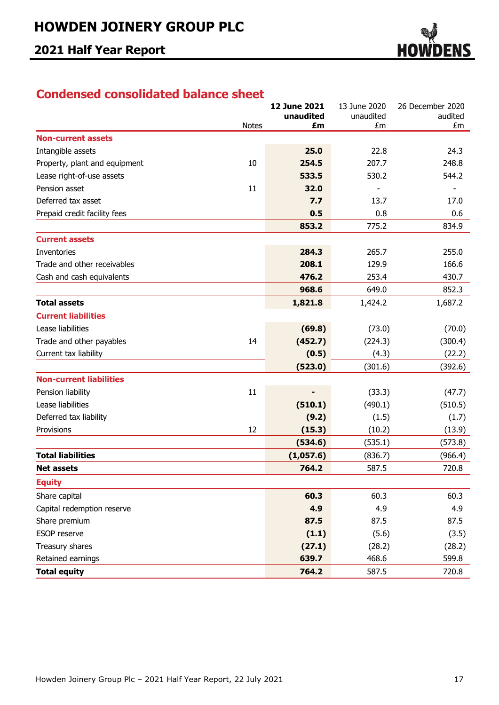

## **Condensed consolidated balance sheet**

|                                |              | <b>12 June 2021</b> | 13 June 2020    | 26 December 2020 |
|--------------------------------|--------------|---------------------|-----------------|------------------|
|                                | <b>Notes</b> | unaudited<br>£m     | unaudited<br>£m | audited<br>£m    |
| <b>Non-current assets</b>      |              |                     |                 |                  |
| Intangible assets              |              | 25.0                | 22.8            | 24.3             |
| Property, plant and equipment  | 10           | 254.5               | 207.7           | 248.8            |
| Lease right-of-use assets      |              | 533.5               | 530.2           | 544.2            |
| Pension asset                  | 11           | 32.0                |                 |                  |
| Deferred tax asset             |              | 7.7                 | 13.7            | 17.0             |
| Prepaid credit facility fees   |              | 0.5                 | 0.8             | 0.6              |
|                                |              | 853.2               | 775.2           | 834.9            |
| <b>Current assets</b>          |              |                     |                 |                  |
| Inventories                    |              | 284.3               | 265.7           | 255.0            |
| Trade and other receivables    |              | 208.1               | 129.9           | 166.6            |
| Cash and cash equivalents      |              | 476.2               | 253.4           | 430.7            |
|                                |              | 968.6               | 649.0           | 852.3            |
| <b>Total assets</b>            |              | 1,821.8             | 1,424.2         | 1,687.2          |
| <b>Current liabilities</b>     |              |                     |                 |                  |
| Lease liabilities              |              | (69.8)              | (73.0)          | (70.0)           |
| Trade and other payables       | 14           | (452.7)             | (224.3)         | (300.4)          |
| Current tax liability          |              | (0.5)               | (4.3)           | (22.2)           |
|                                |              | (523.0)             | (301.6)         | (392.6)          |
| <b>Non-current liabilities</b> |              |                     |                 |                  |
| Pension liability              | 11           |                     | (33.3)          | (47.7)           |
| Lease liabilities              |              | (510.1)             | (490.1)         | (510.5)          |
| Deferred tax liability         |              | (9.2)               | (1.5)           | (1.7)            |
| Provisions                     | 12           | (15.3)              | (10.2)          | (13.9)           |
|                                |              | (534.6)             | (535.1)         | (573.8)          |
| <b>Total liabilities</b>       |              | (1,057.6)           | (836.7)         | (966.4)          |
| <b>Net assets</b>              |              | 764.2               | 587.5           | 720.8            |
| <b>Equity</b>                  |              |                     |                 |                  |
| Share capital                  |              | 60.3                | 60.3            | 60.3             |
| Capital redemption reserve     |              | 4.9                 | 4.9             | 4.9              |
| Share premium                  |              | 87.5                | 87.5            | 87.5             |
| <b>ESOP</b> reserve            |              | (1.1)               | (5.6)           | (3.5)            |
| Treasury shares                |              | (27.1)              | (28.2)          | (28.2)           |
| Retained earnings              |              | 639.7               | 468.6           | 599.8            |
| <b>Total equity</b>            |              | 764.2               | 587.5           | 720.8            |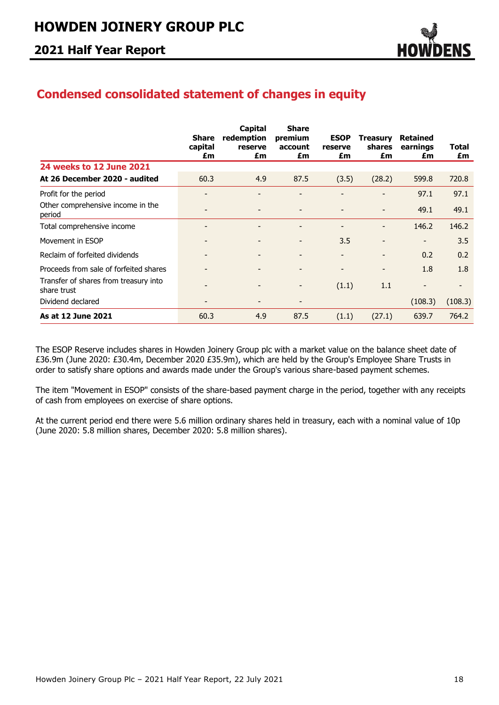

## **Condensed consolidated statement of changes in equity**

|                                                      | <b>Share</b><br>capital<br>£m | Capital<br>redemption<br>reserve<br>£m | <b>Share</b><br>premium<br>account<br>£m | <b>ESOP</b><br>reserve<br>£m | <b>Treasury</b><br><b>shares</b><br>£m | <b>Retained</b><br>earnings<br>£m | Total<br>£m |
|------------------------------------------------------|-------------------------------|----------------------------------------|------------------------------------------|------------------------------|----------------------------------------|-----------------------------------|-------------|
| 24 weeks to 12 June 2021                             |                               |                                        |                                          |                              |                                        |                                   |             |
| At 26 December 2020 - audited                        | 60.3                          | 4.9                                    | 87.5                                     | (3.5)                        | (28.2)                                 | 599.8                             | 720.8       |
| Profit for the period                                |                               |                                        |                                          |                              |                                        | 97.1                              | 97.1        |
| Other comprehensive income in the<br>period          |                               |                                        |                                          |                              |                                        | 49.1                              | 49.1        |
| Total comprehensive income                           |                               | $\overline{\phantom{0}}$               | $\overline{\phantom{a}}$                 | -                            | $\overline{\phantom{0}}$               | 146.2                             | 146.2       |
| Movement in ESOP                                     |                               |                                        |                                          | 3.5                          | -                                      | $\overline{\phantom{a}}$          | 3.5         |
| Reclaim of forfeited dividends                       |                               |                                        |                                          | -                            | $\overline{\phantom{a}}$               | 0.2                               | 0.2         |
| Proceeds from sale of forfeited shares               |                               |                                        | $\overline{\phantom{0}}$                 | -                            | $\overline{\phantom{a}}$               | 1.8                               | 1.8         |
| Transfer of shares from treasury into<br>share trust |                               | -                                      | $\qquad \qquad \blacksquare$             | (1.1)                        | 1.1                                    | $\overline{\phantom{a}}$          | ٠           |
| Dividend declared                                    |                               |                                        |                                          |                              |                                        | (108.3)                           | (108.3)     |
| As at 12 June 2021                                   | 60.3                          | 4.9                                    | 87.5                                     | (1.1)                        | (27.1)                                 | 639.7                             | 764.2       |

The ESOP Reserve includes shares in Howden Joinery Group plc with a market value on the balance sheet date of £36.9m (June 2020: £30.4m, December 2020 £35.9m), which are held by the Group's Employee Share Trusts in order to satisfy share options and awards made under the Group's various share-based payment schemes.

The item "Movement in ESOP" consists of the share-based payment charge in the period, together with any receipts of cash from employees on exercise of share options.

At the current period end there were 5.6 million ordinary shares held in treasury, each with a nominal value of 10p (June 2020: 5.8 million shares, December 2020: 5.8 million shares).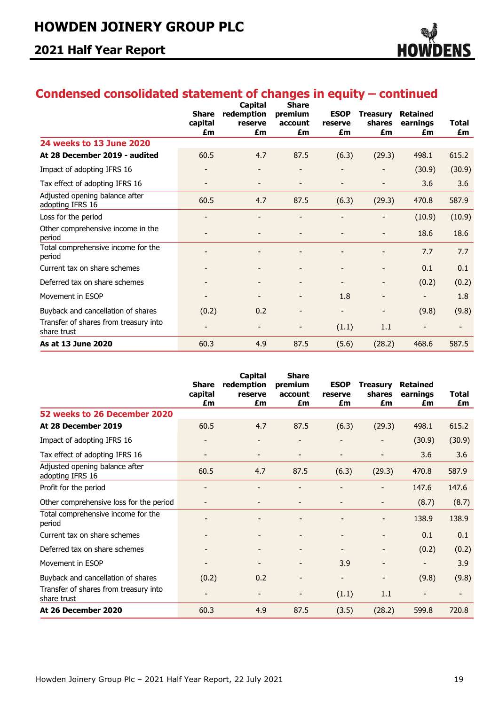

# **Condensed consolidated statement of changes in equity – continued**

|                                                      | <b>Share</b><br>capital<br>£m | Capital<br>redemption<br>reserve<br>£m | <b>Share</b><br>premium<br>account<br>£m | <b>ESOP</b><br>reserve<br>£m | <b>Treasury</b><br>shares<br>£m | <b>Retained</b><br>earnings<br>£m | <b>Total</b><br>£m |
|------------------------------------------------------|-------------------------------|----------------------------------------|------------------------------------------|------------------------------|---------------------------------|-----------------------------------|--------------------|
| 24 weeks to 13 June 2020                             |                               |                                        |                                          |                              |                                 |                                   |                    |
| At 28 December 2019 - audited                        | 60.5                          | 4.7                                    | 87.5                                     | (6.3)                        | (29.3)                          | 498.1                             | 615.2              |
| Impact of adopting IFRS 16                           |                               |                                        |                                          |                              |                                 | (30.9)                            | (30.9)             |
| Tax effect of adopting IFRS 16                       |                               | -                                      | $\overline{\phantom{a}}$                 | $\overline{\phantom{a}}$     | $\qquad \qquad \blacksquare$    | 3.6                               | 3.6                |
| Adjusted opening balance after<br>adopting IFRS 16   | 60.5                          | 4.7                                    | 87.5                                     | (6.3)                        | (29.3)                          | 470.8                             | 587.9              |
| Loss for the period                                  |                               | -                                      | $\qquad \qquad \blacksquare$             |                              |                                 | (10.9)                            | (10.9)             |
| Other comprehensive income in the<br>period          |                               | $\overline{\phantom{a}}$               | $\overline{\phantom{a}}$                 | $\overline{\phantom{a}}$     | -                               | 18.6                              | 18.6               |
| Total comprehensive income for the<br>period         |                               |                                        |                                          |                              |                                 | 7.7                               | 7.7                |
| Current tax on share schemes                         |                               |                                        |                                          |                              | $\overline{\phantom{0}}$        | 0.1                               | 0.1                |
| Deferred tax on share schemes                        |                               |                                        |                                          | $\overline{\phantom{a}}$     | -                               | (0.2)                             | (0.2)              |
| Movement in ESOP                                     |                               |                                        | $\qquad \qquad \blacksquare$             | 1.8                          | $\overline{\phantom{a}}$        | $\overline{\phantom{a}}$          | 1.8                |
| Buyback and cancellation of shares                   | (0.2)                         | 0.2                                    |                                          |                              | $\overline{\phantom{0}}$        | (9.8)                             | (9.8)              |
| Transfer of shares from treasury into<br>share trust |                               |                                        | $\qquad \qquad \blacksquare$             | (1.1)                        | 1.1                             | $\overline{a}$                    |                    |
| As at 13 June 2020                                   | 60.3                          | 4.9                                    | 87.5                                     | (5.6)                        | (28.2)                          | 468.6                             | 587.5              |

|                                                      | <b>Share</b><br>capital<br>£m | <b>Capital</b><br>redemption<br>reserve<br>£m | <b>Share</b><br>premium<br>account<br>£m | <b>ESOP</b><br>reserve<br>£m | <b>Treasury</b><br>shares<br>£m | <b>Retained</b><br>earnings<br>£m | <b>Total</b><br>£m |
|------------------------------------------------------|-------------------------------|-----------------------------------------------|------------------------------------------|------------------------------|---------------------------------|-----------------------------------|--------------------|
| 52 weeks to 26 December 2020                         |                               |                                               |                                          |                              |                                 |                                   |                    |
| At 28 December 2019                                  | 60.5                          | 4.7                                           | 87.5                                     | (6.3)                        | (29.3)                          | 498.1                             | 615.2              |
| Impact of adopting IFRS 16                           |                               |                                               | -                                        |                              |                                 | (30.9)                            | (30.9)             |
| Tax effect of adopting IFRS 16                       |                               |                                               |                                          |                              | $\overline{\phantom{a}}$        | 3.6                               | 3.6                |
| Adjusted opening balance after<br>adopting IFRS 16   | 60.5                          | 4.7                                           | 87.5                                     | (6.3)                        | (29.3)                          | 470.8                             | 587.9              |
| Profit for the period                                |                               |                                               |                                          |                              |                                 | 147.6                             | 147.6              |
| Other comprehensive loss for the period              |                               |                                               |                                          |                              |                                 | (8.7)                             | (8.7)              |
| Total comprehensive income for the<br>period         |                               |                                               |                                          |                              |                                 | 138.9                             | 138.9              |
| Current tax on share schemes                         |                               |                                               |                                          | -                            |                                 | 0.1                               | 0.1                |
| Deferred tax on share schemes                        |                               |                                               | $\overline{\phantom{0}}$                 | $\overline{\phantom{a}}$     | $\overline{\phantom{a}}$        | (0.2)                             | (0.2)              |
| Movement in ESOP                                     |                               |                                               |                                          | 3.9                          |                                 |                                   | 3.9                |
| Buyback and cancellation of shares                   | (0.2)                         | 0.2                                           |                                          |                              | $\overline{\phantom{a}}$        | (9.8)                             | (9.8)              |
| Transfer of shares from treasury into<br>share trust |                               |                                               |                                          | (1.1)                        | 1.1                             |                                   |                    |
| At 26 December 2020                                  | 60.3                          | 4.9                                           | 87.5                                     | (3.5)                        | (28.2)                          | 599.8                             | 720.8              |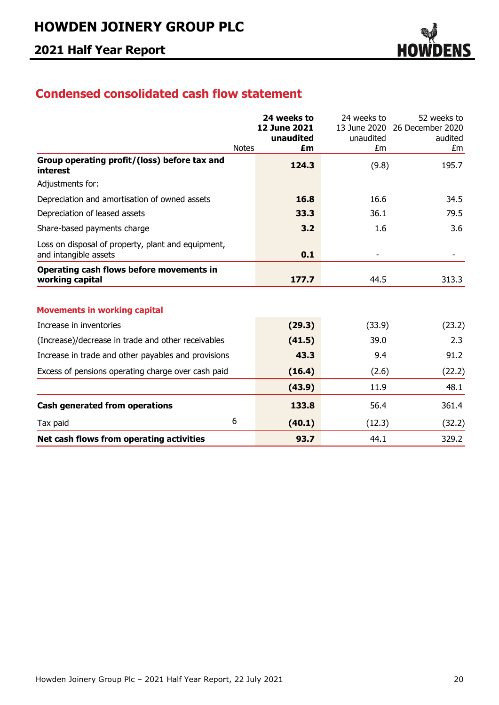

## **Condensed consolidated cash flow statement**

|                                                                             | 24 weeks to         | 24 weeks to     | 52 weeks to      |
|-----------------------------------------------------------------------------|---------------------|-----------------|------------------|
|                                                                             | <b>12 June 2021</b> | 13 June 2020    | 26 December 2020 |
| <b>Notes</b>                                                                | unaudited<br>£m     | unaudited<br>£m | audited<br>£m    |
| Group operating profit/(loss) before tax and<br>interest                    | 124.3               | (9.8)           | 195.7            |
| Adjustments for:                                                            |                     |                 |                  |
| Depreciation and amortisation of owned assets                               | 16.8                | 16.6            | 34.5             |
| Depreciation of leased assets                                               | 33.3                | 36.1            | 79.5             |
| Share-based payments charge                                                 | 3.2                 | 1.6             | 3.6              |
| Loss on disposal of property, plant and equipment,<br>and intangible assets | 0.1                 |                 |                  |
| Operating cash flows before movements in<br>working capital                 | 177.7               | 44.5            | 313.3            |
| <b>Movements in working capital</b>                                         |                     |                 |                  |
| Increase in inventories                                                     | (29.3)              | (33.9)          | (23.2)           |
| (Increase)/decrease in trade and other receivables                          | (41.5)              | 39.0            | 2.3              |
| Increase in trade and other payables and provisions                         | 43.3                | 9.4             | 91.2             |
| Excess of pensions operating charge over cash paid                          | (16.4)              | (2.6)           | (22.2)           |
|                                                                             | (43.9)              | 11.9            | 48.1             |
| <b>Cash generated from operations</b>                                       | 133.8               | 56.4            | 361.4            |
| 6<br>Tax paid                                                               | (40.1)              | (12.3)          | (32.2)           |
| Net cash flows from operating activities                                    | 93.7                | 44.1            | 329.2            |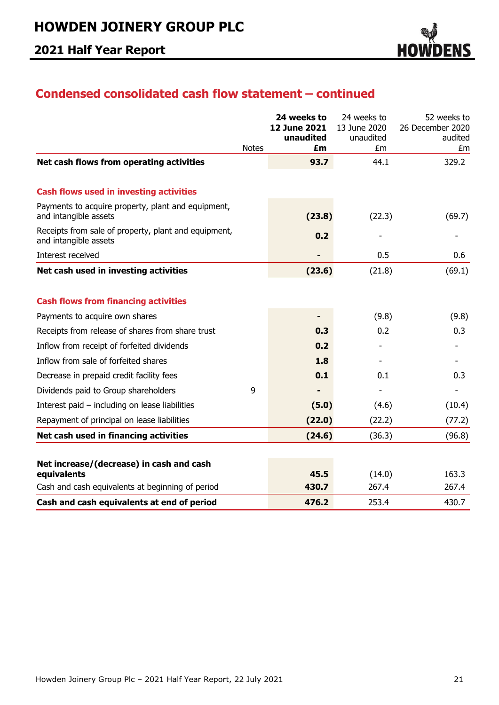

## **Condensed consolidated cash flow statement – continued**

|                                                                               | <b>Notes</b> | 24 weeks to<br>12 June 2021<br>unaudited<br>£m | 24 weeks to<br>13 June 2020<br>unaudited<br>£m | 52 weeks to<br>26 December 2020<br>audited<br>£m |
|-------------------------------------------------------------------------------|--------------|------------------------------------------------|------------------------------------------------|--------------------------------------------------|
| Net cash flows from operating activities                                      |              | 93.7                                           | 44.1                                           | 329.2                                            |
| <b>Cash flows used in investing activities</b>                                |              |                                                |                                                |                                                  |
| Payments to acquire property, plant and equipment,<br>and intangible assets   |              | (23.8)                                         | (22.3)                                         | (69.7)                                           |
| Receipts from sale of property, plant and equipment,<br>and intangible assets |              | 0.2                                            |                                                |                                                  |
| Interest received                                                             |              |                                                | 0.5                                            | 0.6                                              |
| Net cash used in investing activities                                         |              | (23.6)                                         | (21.8)                                         | (69.1)                                           |
|                                                                               |              |                                                |                                                |                                                  |
| <b>Cash flows from financing activities</b>                                   |              |                                                |                                                |                                                  |
| Payments to acquire own shares                                                |              |                                                | (9.8)                                          | (9.8)                                            |
| Receipts from release of shares from share trust                              |              | 0.3                                            | 0.2                                            | 0.3                                              |
| Inflow from receipt of forfeited dividends                                    |              | 0.2                                            |                                                |                                                  |
| Inflow from sale of forfeited shares                                          |              | 1.8                                            |                                                |                                                  |
| Decrease in prepaid credit facility fees                                      |              | 0.1                                            | 0.1                                            | 0.3                                              |
| Dividends paid to Group shareholders                                          | 9            |                                                |                                                |                                                  |
| Interest paid - including on lease liabilities                                |              | (5.0)                                          | (4.6)                                          | (10.4)                                           |
| Repayment of principal on lease liabilities                                   |              | (22.0)                                         | (22.2)                                         | (77.2)                                           |
| Net cash used in financing activities                                         |              | (24.6)                                         | (36.3)                                         | (96.8)                                           |
|                                                                               |              |                                                |                                                |                                                  |
| Net increase/(decrease) in cash and cash<br>equivalents                       |              | 45.5                                           | (14.0)                                         | 163.3                                            |
| Cash and cash equivalents at beginning of period                              |              | 430.7                                          | 267.4                                          | 267.4                                            |
| Cash and cash equivalents at end of period                                    |              | 476.2                                          | 253.4                                          | 430.7                                            |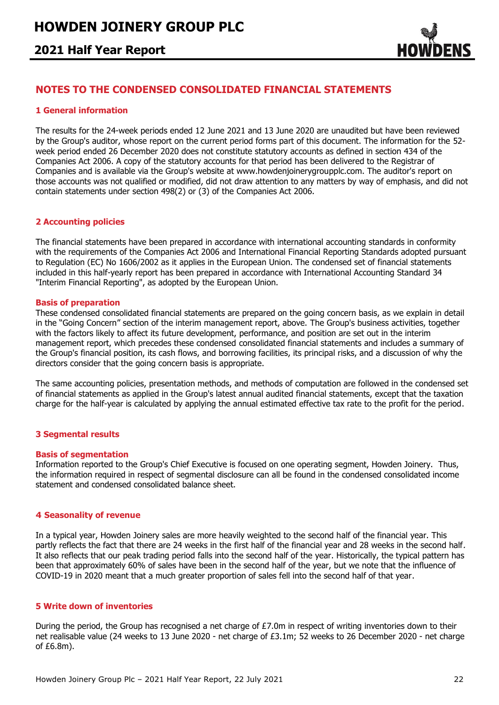### **2021 Half Year Report**



### **NOTES TO THE CONDENSED CONSOLIDATED FINANCIAL STATEMENTS**

### **1 General information**

The results for the 24-week periods ended 12 June 2021 and 13 June 2020 are unaudited but have been reviewed by the Group's auditor, whose report on the current period forms part of this document. The information for the 52 week period ended 26 December 2020 does not constitute statutory accounts as defined in section 434 of the Companies Act 2006. A copy of the statutory accounts for that period has been delivered to the Registrar of Companies and is available via the Group's website at www.howdenjoinerygroupplc.com. The auditor's report on those accounts was not qualified or modified, did not draw attention to any matters by way of emphasis, and did not contain statements under section 498(2) or (3) of the Companies Act 2006.

### **2 Accounting policies**

The financial statements have been prepared in accordance with international accounting standards in conformity with the requirements of the Companies Act 2006 and International Financial Reporting Standards adopted pursuant to Regulation (EC) No 1606/2002 as it applies in the European Union. The condensed set of financial statements included in this half-yearly report has been prepared in accordance with International Accounting Standard 34 "Interim Financial Reporting", as adopted by the European Union.

#### **Basis of preparation**

These condensed consolidated financial statements are prepared on the going concern basis, as we explain in detail in the "Going Concern" section of the interim management report, above. The Group's business activities, together with the factors likely to affect its future development, performance, and position are set out in the interim management report, which precedes these condensed consolidated financial statements and includes a summary of the Group's financial position, its cash flows, and borrowing facilities, its principal risks, and a discussion of why the directors consider that the going concern basis is appropriate.

The same accounting policies, presentation methods, and methods of computation are followed in the condensed set of financial statements as applied in the Group's latest annual audited financial statements, except that the taxation charge for the half-year is calculated by applying the annual estimated effective tax rate to the profit for the period.

### **3 Segmental results**

#### **Basis of segmentation**

Information reported to the Group's Chief Executive is focused on one operating segment, Howden Joinery. Thus, the information required in respect of segmental disclosure can all be found in the condensed consolidated income statement and condensed consolidated balance sheet.

### **4 Seasonality of revenue**

In a typical year, Howden Joinery sales are more heavily weighted to the second half of the financial year. This partly reflects the fact that there are 24 weeks in the first half of the financial year and 28 weeks in the second half. It also reflects that our peak trading period falls into the second half of the year. Historically, the typical pattern has been that approximately 60% of sales have been in the second half of the year, but we note that the influence of COVID-19 in 2020 meant that a much greater proportion of sales fell into the second half of that year.

### **5 Write down of inventories**

During the period, the Group has recognised a net charge of  $E7.0m$  in respect of writing inventories down to their net realisable value (24 weeks to 13 June 2020 - net charge of £3.1m; 52 weeks to 26 December 2020 - net charge of £6.8m).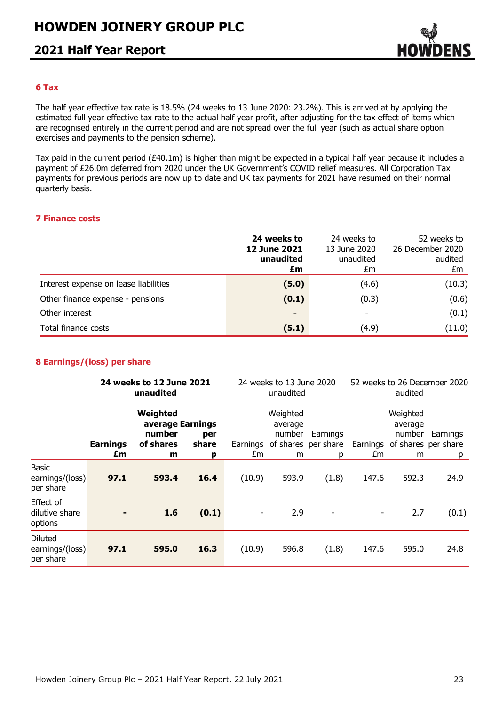### **2021 Half Year Report**



### **6 Tax**

The half year effective tax rate is 18.5% (24 weeks to 13 June 2020: 23.2%). This is arrived at by applying the estimated full year effective tax rate to the actual half year profit, after adjusting for the tax effect of items which are recognised entirely in the current period and are not spread over the full year (such as actual share option exercises and payments to the pension scheme).

Tax paid in the current period (£40.1m) is higher than might be expected in a typical half year because it includes a payment of £26.0m deferred from 2020 under the UK Government's COVID relief measures. All Corporation Tax payments for previous periods are now up to date and UK tax payments for 2021 have resumed on their normal quarterly basis.

#### **7 Finance costs**

|                                       | 24 weeks to<br><b>12 June 2021</b><br>unaudited<br>£m | 24 weeks to<br>13 June 2020<br>unaudited<br>£m | 52 weeks to<br>26 December 2020<br>audited<br>£m |
|---------------------------------------|-------------------------------------------------------|------------------------------------------------|--------------------------------------------------|
| Interest expense on lease liabilities | (5.0)                                                 | (4.6)                                          | (10.3)                                           |
| Other finance expense - pensions      | (0.1)                                                 | (0.3)                                          | (0.6)                                            |
| Other interest                        | $\blacksquare$                                        | $\blacksquare$                                 | (0.1)                                            |
| Total finance costs                   | (5.1)                                                 | (4.9)                                          | (11.0)                                           |

### **8 Earnings/(loss) per share**

|                                                |                       | 24 weeks to 12 June 2021<br>unaudited                    |                   | 24 weeks to 13 June 2020<br>unaudited |                                                                    | 52 weeks to 26 December 2020<br>audited |       |                                                                    |               |
|------------------------------------------------|-----------------------|----------------------------------------------------------|-------------------|---------------------------------------|--------------------------------------------------------------------|-----------------------------------------|-------|--------------------------------------------------------------------|---------------|
|                                                | <b>Earnings</b><br>£m | Weighted<br>average Earnings<br>number<br>of shares<br>m | per<br>share<br>р | £m                                    | Weighted<br>average<br>number<br>Earnings of shares per share<br>m | Earnings<br>р                           | £m    | Weighted<br>average<br>number<br>Earnings of shares per share<br>m | Earnings<br>p |
| <b>Basic</b><br>earnings/(loss)<br>per share   | 97.1                  | 593.4                                                    | 16.4              | (10.9)                                | 593.9                                                              | (1.8)                                   | 147.6 | 592.3                                                              | 24.9          |
| Effect of<br>dilutive share<br>options         |                       | 1.6                                                      | (0.1)             |                                       | 2.9                                                                |                                         |       | 2.7                                                                | (0.1)         |
| <b>Diluted</b><br>earnings/(loss)<br>per share | 97.1                  | 595.0                                                    | 16.3              | (10.9)                                | 596.8                                                              | (1.8)                                   | 147.6 | 595.0                                                              | 24.8          |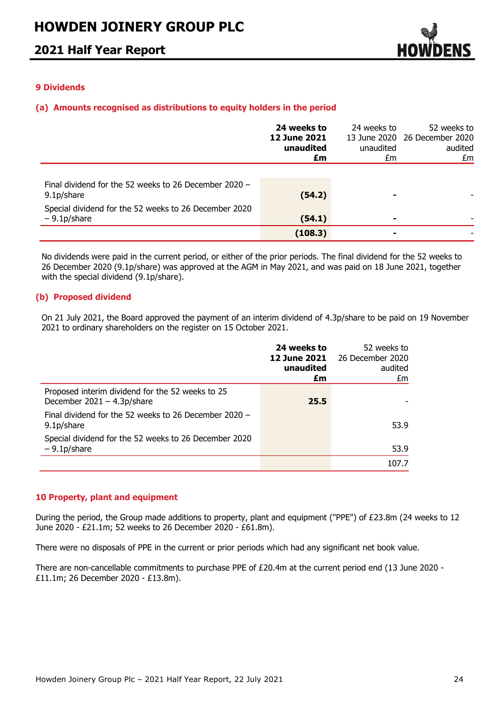

### **9 Dividends**

### **(a) Amounts recognised as distributions to equity holders in the period**

|                                                                         | 24 weeks to<br><b>12 June 2021</b><br>unaudited<br>£m | 24 weeks to<br>unaudited<br>£m | 52 weeks to<br>13 June 2020 26 December 2020<br>audited<br>£m |
|-------------------------------------------------------------------------|-------------------------------------------------------|--------------------------------|---------------------------------------------------------------|
| Final dividend for the 52 weeks to 26 December 2020 -<br>9.1p/share     | (54.2)                                                |                                |                                                               |
| Special dividend for the 52 weeks to 26 December 2020<br>$-9.1p/s$ hare | (54.1)                                                |                                |                                                               |
|                                                                         | (108.3)                                               |                                |                                                               |

No dividends were paid in the current period, or either of the prior periods. The final dividend for the 52 weeks to 26 December 2020 (9.1p/share) was approved at the AGM in May 2021, and was paid on 18 June 2021, together with the special dividend (9.1p/share).

### **(b) Proposed dividend**

On 21 July 2021, the Board approved the payment of an interim dividend of 4.3p/share to be paid on 19 November 2021 to ordinary shareholders on the register on 15 October 2021.

|                                                                                   | 24 weeks to<br>12 June 2021<br>unaudited<br>£m | 52 weeks to<br>26 December 2020<br>audited<br>£m |
|-----------------------------------------------------------------------------------|------------------------------------------------|--------------------------------------------------|
| Proposed interim dividend for the 52 weeks to 25<br>December $2021 - 4.3p/s$ hare | 25.5                                           |                                                  |
| Final dividend for the 52 weeks to 26 December 2020 $-$<br>9.1p/share             |                                                | 53.9                                             |
| Special dividend for the 52 weeks to 26 December 2020<br>$-9.1p/share$            |                                                | 53.9                                             |
|                                                                                   |                                                | 107.7                                            |

### **10 Property, plant and equipment**

During the period, the Group made additions to property, plant and equipment ("PPE") of £23.8m (24 weeks to 12 June 2020 - £21.1m; 52 weeks to 26 December 2020 - £61.8m).

There were no disposals of PPE in the current or prior periods which had any significant net book value.

There are non-cancellable commitments to purchase PPE of £20.4m at the current period end (13 June 2020 - £11.1m; 26 December 2020 - £13.8m).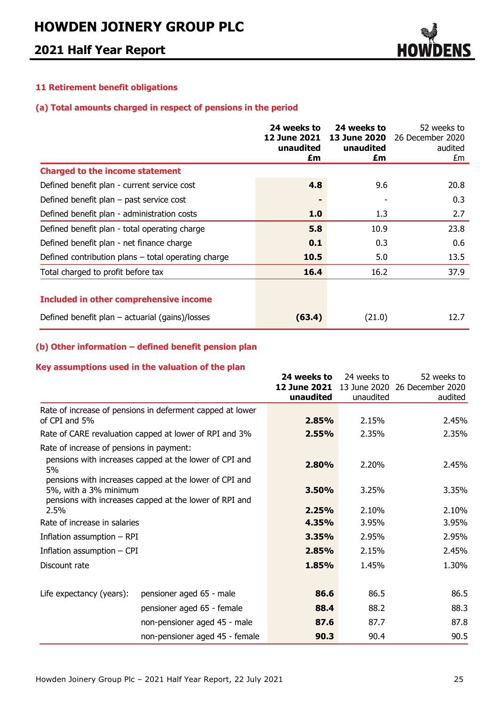

### **11 Retirement benefit obligations**

### **(a) Total amounts charged in respect of pensions in the period**

|                                                     | 24 weeks to<br><b>12 June 2021</b><br>unaudited<br>£m | 24 weeks to<br>13 June 2020<br>unaudited<br>£m | 52 weeks to<br>26 December 2020<br>audited<br>£m |
|-----------------------------------------------------|-------------------------------------------------------|------------------------------------------------|--------------------------------------------------|
| <b>Charged to the income statement</b>              |                                                       |                                                |                                                  |
| Defined benefit plan - current service cost         | 4.8                                                   | 9.6                                            | 20.8                                             |
| Defined benefit plan $-$ past service cost          |                                                       |                                                | 0.3                                              |
| Defined benefit plan - administration costs         | 1.0                                                   | 1.3                                            | 2.7                                              |
| Defined benefit plan - total operating charge       | 5.8                                                   | 10.9                                           | 23.8                                             |
| Defined benefit plan - net finance charge           | 0.1                                                   | 0.3                                            | 0.6                                              |
| Defined contribution plans - total operating charge | 10.5                                                  | 5.0                                            | 13.5                                             |
| Total charged to profit before tax                  | 16.4                                                  | 16.2                                           | 37.9                                             |
| <b>Included in other comprehensive income</b>       |                                                       |                                                |                                                  |
| Defined benefit plan $-$ actuarial (gains)/losses   | (63.4)                                                | (21.0)                                         | 12.7                                             |

### **(b) Other information – defined benefit pension plan**

### **Key assumptions used in the valuation of the plan**

|                                          |                                                                                                                  | 24 weeks to  | 24 weeks to  | 52 weeks to      |
|------------------------------------------|------------------------------------------------------------------------------------------------------------------|--------------|--------------|------------------|
|                                          |                                                                                                                  | 12 June 2021 | 13 June 2020 | 26 December 2020 |
|                                          |                                                                                                                  | unaudited    | unaudited    | audited          |
|                                          | Rate of increase of pensions in deferment capped at lower                                                        |              |              |                  |
| of CPI and 5%                            |                                                                                                                  | 2.85%        | 2.15%        | 2.45%            |
|                                          | Rate of CARE revaluation capped at lower of RPI and 3%                                                           | 2.55%        | 2.35%        | 2.35%            |
| Rate of increase of pensions in payment: |                                                                                                                  |              |              |                  |
| 5%                                       | pensions with increases capped at the lower of CPI and                                                           | 2.80%        | 2.20%        | 2.45%            |
| 5%, with a 3% minimum                    | pensions with increases capped at the lower of CPI and<br>pensions with increases capped at the lower of RPI and | 3.50%        |              | 3.35%            |
| 2.5%                                     |                                                                                                                  | 2.25%        | 2.10%        | 2.10%            |
| Rate of increase in salaries             |                                                                                                                  | 4.35%        | 3.95%        | 3.95%            |
| Inflation assumption - RPI               |                                                                                                                  | 3.35%        | 2.95%        | 2.95%            |
| Inflation assumption $-$ CPI             |                                                                                                                  | 2.85%        | 2.15%        | 2.45%            |
| Discount rate                            |                                                                                                                  | 1.85%        | 1.45%        | 1.30%            |
|                                          |                                                                                                                  |              |              |                  |
| Life expectancy (years):                 | pensioner aged 65 - male                                                                                         | 86.6         | 86.5         | 86.5             |
|                                          | pensioner aged 65 - female                                                                                       | 88.4         | 88.2         | 88.3             |
|                                          | non-pensioner aged 45 - male                                                                                     | 87.6         | 87.7         | 87.8             |
|                                          | non-pensioner aged 45 - female                                                                                   | 90.3         | 90.4         | 90.5             |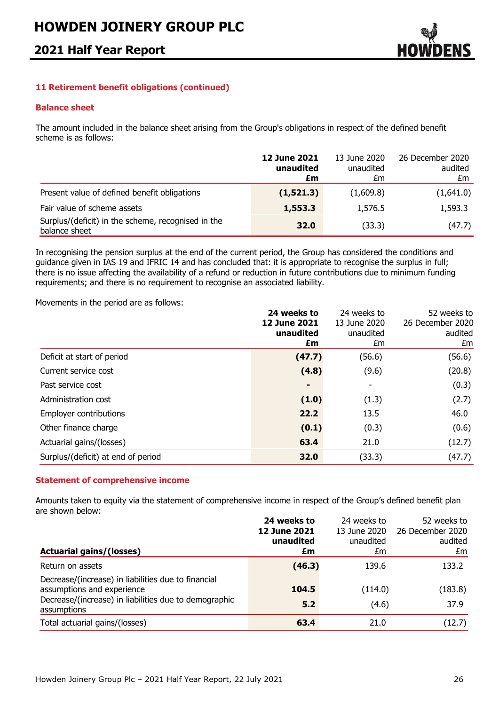## **2021 Half Year Report**



### **11 Retirement benefit obligations (continued)**

#### **Balance sheet**

The amount included in the balance sheet arising from the Group's obligations in respect of the defined benefit scheme is as follows:

|                                                                     | <b>12 June 2021</b><br>unaudited<br>£m | 13 June 2020<br>unaudited<br>£m | 26 December 2020<br>audited<br>£m |
|---------------------------------------------------------------------|----------------------------------------|---------------------------------|-----------------------------------|
| Present value of defined benefit obligations                        | (1, 521.3)                             | (1,609.8)                       | (1,641.0)                         |
| Fair value of scheme assets                                         | 1,553.3                                | 1,576.5                         | 1,593.3                           |
| Surplus/(deficit) in the scheme, recognised in the<br>balance sheet | 32.0                                   | (33.3)                          | (47.7)                            |

In recognising the pension surplus at the end of the current period, the Group has considered the conditions and guidance given in IAS 19 and IFRIC 14 and has concluded that: it is appropriate to recognise the surplus in full; there is no issue affecting the availability of a refund or reduction in future contributions due to minimum funding requirements; and there is no requirement to recognise an associated liability.

Movements in the period are as follows:

|                                    | 24 weeks to<br><b>12 June 2021</b><br>unaudited<br>£m | 24 weeks to<br>13 June 2020<br>unaudited<br>£m | 52 weeks to<br>26 December 2020<br>audited<br>£m |
|------------------------------------|-------------------------------------------------------|------------------------------------------------|--------------------------------------------------|
| Deficit at start of period         | (47.7)                                                | (56.6)                                         | (56.6)                                           |
| Current service cost               | (4.8)                                                 | (9.6)                                          | (20.8)                                           |
| Past service cost                  | ٠                                                     | ٠                                              | (0.3)                                            |
| Administration cost                | (1.0)                                                 | (1.3)                                          | (2.7)                                            |
| <b>Employer contributions</b>      | 22.2                                                  | 13.5                                           | 46.0                                             |
| Other finance charge               | (0.1)                                                 | (0.3)                                          | (0.6)                                            |
| Actuarial gains/(losses)           | 63.4                                                  | 21.0                                           | (12.7)                                           |
| Surplus/(deficit) at end of period | 32.0                                                  | (33.3)                                         | (47.7)                                           |

### **Statement of comprehensive income**

Amounts taken to equity via the statement of comprehensive income in respect of the Group's defined benefit plan are shown below:

|                                                                      | 24 weeks to         | 24 weeks to  | 52 weeks to      |
|----------------------------------------------------------------------|---------------------|--------------|------------------|
|                                                                      | <b>12 June 2021</b> | 13 June 2020 | 26 December 2020 |
|                                                                      | unaudited           | unaudited    | audited          |
| <b>Actuarial gains/(losses)</b>                                      | £m                  | £m           | £m               |
| Return on assets                                                     | (46.3)              | 139.6        | 133.2            |
| Decrease/(increase) in liabilities due to financial                  |                     |              |                  |
| assumptions and experience                                           | 104.5               | (114.0)      | (183.8)          |
| Decrease/(increase) in liabilities due to demographic<br>assumptions | 5.2                 | (4.6)        | 37.9             |
| Total actuarial gains/(losses)                                       | 63.4                | 21.0         | (12.7)           |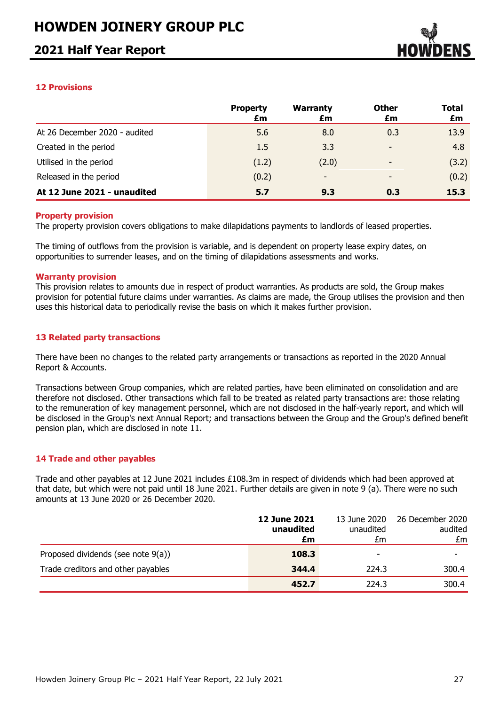### **2021 Half Year Report**



### **12 Provisions**

|                               | <b>Property</b><br>£m | <b>Warranty</b><br>£m    | <b>Other</b><br>£m       | Total<br>£m |
|-------------------------------|-----------------------|--------------------------|--------------------------|-------------|
| At 26 December 2020 - audited | 5.6                   | 8.0                      | 0.3                      | 13.9        |
| Created in the period         | 1.5                   | 3.3                      |                          | 4.8         |
| Utilised in the period        | (1.2)                 | (2.0)                    | ٠                        | (3.2)       |
| Released in the period        | (0.2)                 | $\overline{\phantom{a}}$ | $\overline{\phantom{0}}$ | (0.2)       |
| At 12 June 2021 - unaudited   | 5.7                   | 9.3                      | 0.3                      | 15.3        |

#### **Property provision**

The property provision covers obligations to make dilapidations payments to landlords of leased properties.

The timing of outflows from the provision is variable, and is dependent on property lease expiry dates, on opportunities to surrender leases, and on the timing of dilapidations assessments and works.

#### **Warranty provision**

This provision relates to amounts due in respect of product warranties. As products are sold, the Group makes provision for potential future claims under warranties. As claims are made, the Group utilises the provision and then uses this historical data to periodically revise the basis on which it makes further provision.

### **13 Related party transactions**

There have been no changes to the related party arrangements or transactions as reported in the 2020 Annual Report & Accounts.

Transactions between Group companies, which are related parties, have been eliminated on consolidation and are therefore not disclosed. Other transactions which fall to be treated as related party transactions are: those relating to the remuneration of key management personnel, which are not disclosed in the half-yearly report, and which will be disclosed in the Group's next Annual Report; and transactions between the Group and the Group's defined benefit pension plan, which are disclosed in note 11.

### **14 Trade and other payables**

Trade and other payables at 12 June 2021 includes £108.3m in respect of dividends which had been approved at that date, but which were not paid until 18 June 2021. Further details are given in note 9 (a). There were no such amounts at 13 June 2020 or 26 December 2020.

|                                    | <b>12 June 2021</b><br>unaudited<br>£m | 13 June 2020<br>unaudited<br>£m | 26 December 2020<br>audited<br>£m |
|------------------------------------|----------------------------------------|---------------------------------|-----------------------------------|
| Proposed dividends (see note 9(a)) | 108.3                                  | -                               |                                   |
| Trade creditors and other payables | 344.4                                  | 224.3                           | 300.4                             |
|                                    | 452.7                                  | 224.3                           | 300.4                             |